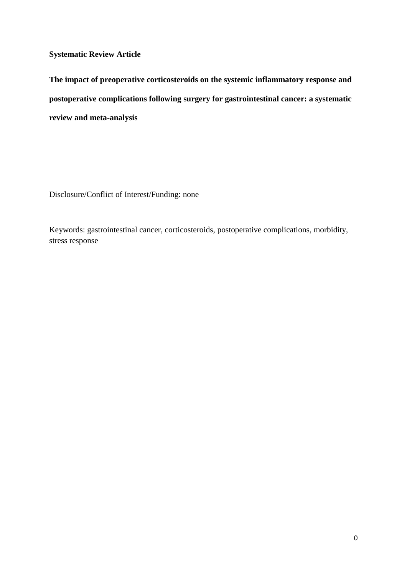**Systematic Review Article**

**The impact of preoperative corticosteroids on the systemic inflammatory response and postoperative complications following surgery for gastrointestinal cancer: a systematic review and meta-analysis**

Disclosure/Conflict of Interest/Funding: none

Keywords: gastrointestinal cancer, corticosteroids, postoperative complications, morbidity, stress response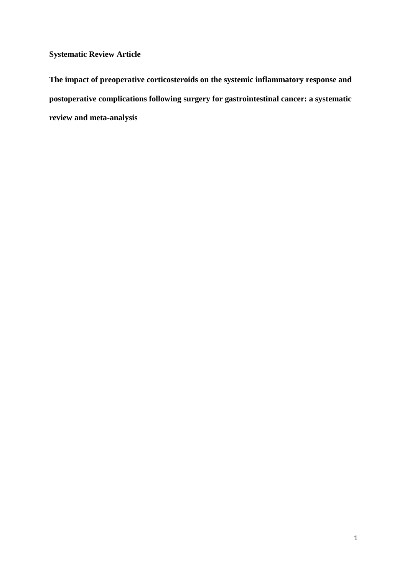**Systematic Review Article**

**The impact of preoperative corticosteroids on the systemic inflammatory response and postoperative complications following surgery for gastrointestinal cancer: a systematic review and meta-analysis**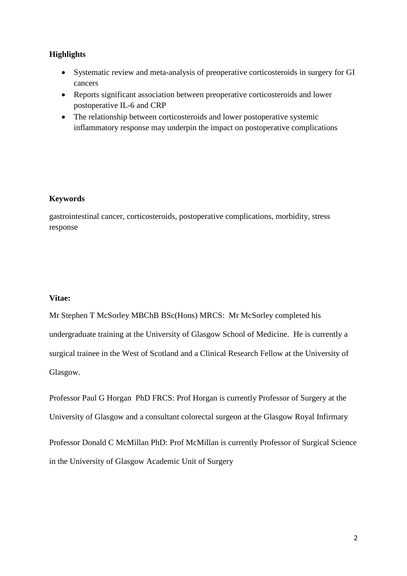### **Highlights**

- Systematic review and meta-analysis of preoperative corticosteroids in surgery for GI cancers
- Reports significant association between preoperative corticosteroids and lower postoperative IL-6 and CRP
- The relationship between corticosteroids and lower postoperative systemic inflammatory response may underpin the impact on postoperative complications

### **Keywords**

gastrointestinal cancer, corticosteroids, postoperative complications, morbidity, stress response

### **Vitae:**

Mr Stephen T McSorley MBChB BSc(Hons) MRCS: Mr McSorley completed his undergraduate training at the University of Glasgow School of Medicine. He is currently a surgical trainee in the West of Scotland and a Clinical Research Fellow at the University of Glasgow.

Professor Paul G Horgan PhD FRCS: Prof Horgan is currently Professor of Surgery at the University of Glasgow and a consultant colorectal surgeon at the Glasgow Royal Infirmary

Professor Donald C McMillan PhD: Prof McMillan is currently Professor of Surgical Science in the University of Glasgow Academic Unit of Surgery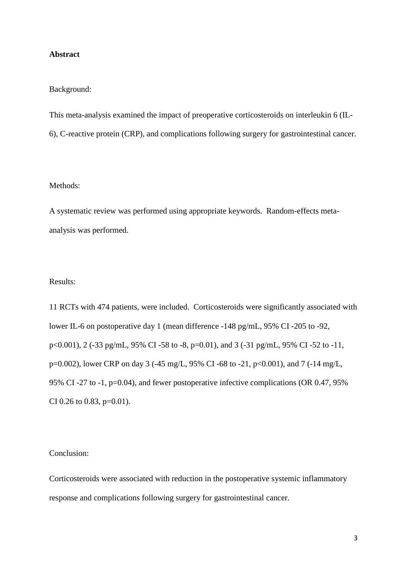#### **Abstract**

#### Background:

This meta-analysis examined the impact of preoperative corticosteroids on interleukin 6 (IL-6), C-reactive protein (CRP), and complications following surgery for gastrointestinal cancer.

#### Methods:

A systematic review was performed using appropriate keywords. Random-effects metaanalysis was performed.

#### Results:

11 RCTs with 474 patients, were included. Corticosteroids were significantly associated with lower IL-6 on postoperative day 1 (mean difference -148 pg/mL, 95% CI -205 to -92, p<0.001), 2 (-33 pg/mL, 95% CI -58 to -8, p=0.01), and 3 (-31 pg/mL, 95% CI -52 to -11, p=0.002), lower CRP on day 3 (-45 mg/L, 95% CI -68 to -21, p<0.001), and 7 (-14 mg/L, 95% CI -27 to -1, p=0.04), and fewer postoperative infective complications (OR 0.47, 95% CI 0.26 to 0.83,  $p=0.01$ ).

#### Conclusion:

Corticosteroids were associated with reduction in the postoperative systemic inflammatory response and complications following surgery for gastrointestinal cancer.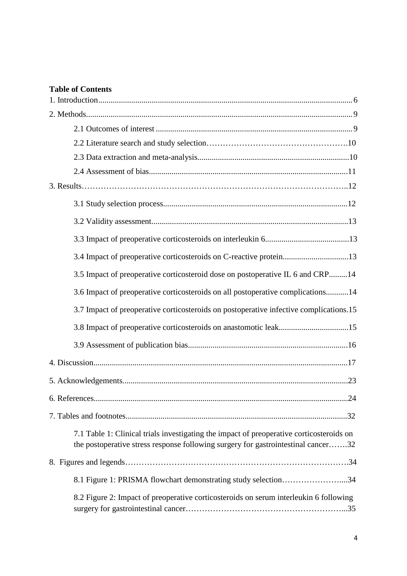## **Table of Contents**

| 3.4 Impact of preoperative corticosteroids on C-reactive protein13                                                                                                            |
|-------------------------------------------------------------------------------------------------------------------------------------------------------------------------------|
| 3.5 Impact of preoperative corticosteroid dose on postoperative IL 6 and CRP14                                                                                                |
| 3.6 Impact of preoperative corticosteroids on all postoperative complications14                                                                                               |
| 3.7 Impact of preoperative corticosteroids on postoperative infective complications.15                                                                                        |
| 3.8 Impact of preoperative corticosteroids on anastomotic leak15                                                                                                              |
|                                                                                                                                                                               |
|                                                                                                                                                                               |
|                                                                                                                                                                               |
|                                                                                                                                                                               |
|                                                                                                                                                                               |
| 7.1 Table 1: Clinical trials investigating the impact of preoperative corticosteroids on<br>the postoperative stress response following surgery for gastrointestinal cancer32 |
|                                                                                                                                                                               |
| 8.1 Figure 1: PRISMA flowchart demonstrating study selection34                                                                                                                |
| 8.2 Figure 2: Impact of preoperative corticosteroids on serum interleukin 6 following                                                                                         |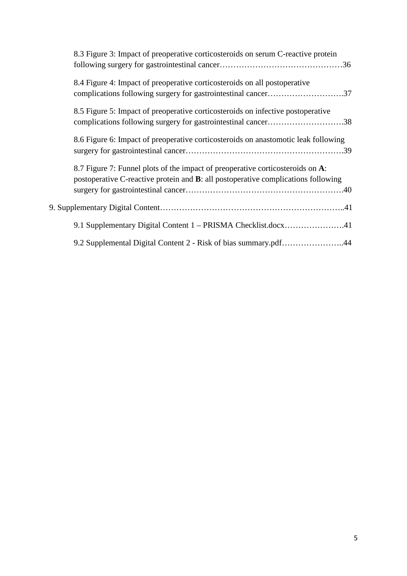| 8.3 Figure 3: Impact of preoperative corticosteroids on serum C-reactive protein                                                                                            |
|-----------------------------------------------------------------------------------------------------------------------------------------------------------------------------|
| 8.4 Figure 4: Impact of preoperative corticosteroids on all postoperative                                                                                                   |
| 8.5 Figure 5: Impact of preoperative corticosteroids on infective postoperative<br>complications following surgery for gastrointestinal cancer38                            |
| 8.6 Figure 6: Impact of preoperative corticosteroids on anastomotic leak following                                                                                          |
| 8.7 Figure 7: Funnel plots of the impact of preoperative corticosteroids on A:<br>postoperative C-reactive protein and <b>B</b> : all postoperative complications following |
|                                                                                                                                                                             |
| 9.1 Supplementary Digital Content 1 - PRISMA Checklist.docx41                                                                                                               |
| 9.2 Supplemental Digital Content 2 - Risk of bias summary.pdf44                                                                                                             |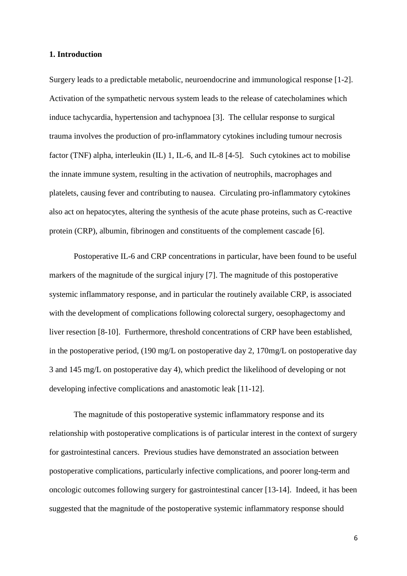#### **1. Introduction**

Surgery leads to a predictable metabolic, neuroendocrine and immunological response [1-2]. Activation of the sympathetic nervous system leads to the release of catecholamines which induce tachycardia, hypertension and tachypnoea [3]. The cellular response to surgical trauma involves the production of pro-inflammatory cytokines including tumour necrosis factor (TNF) alpha, interleukin (IL) 1, IL-6, and IL-8 [4-5]. Such cytokines act to mobilise the innate immune system, resulting in the activation of neutrophils, macrophages and platelets, causing fever and contributing to nausea. Circulating pro-inflammatory cytokines also act on hepatocytes, altering the synthesis of the acute phase proteins, such as C-reactive protein (CRP), albumin, fibrinogen and constituents of the complement cascade [6].

Postoperative IL-6 and CRP concentrations in particular, have been found to be useful markers of the magnitude of the surgical injury [7]. The magnitude of this postoperative systemic inflammatory response, and in particular the routinely available CRP, is associated with the development of complications following colorectal surgery, oesophagectomy and liver resection [8-10]. Furthermore, threshold concentrations of CRP have been established, in the postoperative period, (190 mg/L on postoperative day 2, 170mg/L on postoperative day 3 and 145 mg/L on postoperative day 4), which predict the likelihood of developing or not developing infective complications and anastomotic leak [11-12].

The magnitude of this postoperative systemic inflammatory response and its relationship with postoperative complications is of particular interest in the context of surgery for gastrointestinal cancers. Previous studies have demonstrated an association between postoperative complications, particularly infective complications, and poorer long-term and oncologic outcomes following surgery for gastrointestinal cancer [13-14]. Indeed, it has been suggested that the magnitude of the postoperative systemic inflammatory response should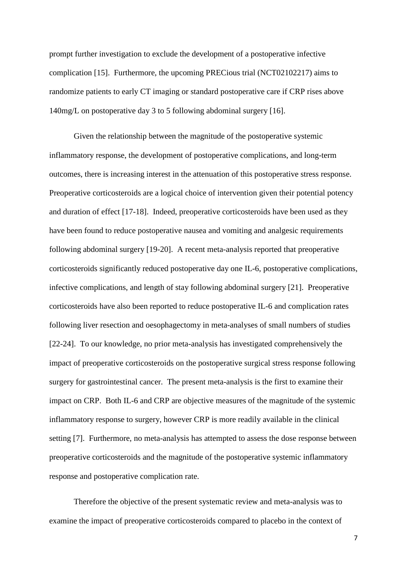prompt further investigation to exclude the development of a postoperative infective complication [15]. Furthermore, the upcoming PRECious trial (NCT02102217) aims to randomize patients to early CT imaging or standard postoperative care if CRP rises above 140mg/L on postoperative day 3 to 5 following abdominal surgery [16].

Given the relationship between the magnitude of the postoperative systemic inflammatory response, the development of postoperative complications, and long-term outcomes, there is increasing interest in the attenuation of this postoperative stress response. Preoperative corticosteroids are a logical choice of intervention given their potential potency and duration of effect [17-18]. Indeed, preoperative corticosteroids have been used as they have been found to reduce postoperative nausea and vomiting and analgesic requirements following abdominal surgery [19-20]. A recent meta-analysis reported that preoperative corticosteroids significantly reduced postoperative day one IL-6, postoperative complications, infective complications, and length of stay following abdominal surgery [21]. Preoperative corticosteroids have also been reported to reduce postoperative IL-6 and complication rates following liver resection and oesophagectomy in meta-analyses of small numbers of studies [22-24]. To our knowledge, no prior meta-analysis has investigated comprehensively the impact of preoperative corticosteroids on the postoperative surgical stress response following surgery for gastrointestinal cancer. The present meta-analysis is the first to examine their impact on CRP. Both IL-6 and CRP are objective measures of the magnitude of the systemic inflammatory response to surgery, however CRP is more readily available in the clinical setting [7]. Furthermore, no meta-analysis has attempted to assess the dose response between preoperative corticosteroids and the magnitude of the postoperative systemic inflammatory response and postoperative complication rate.

Therefore the objective of the present systematic review and meta-analysis was to examine the impact of preoperative corticosteroids compared to placebo in the context of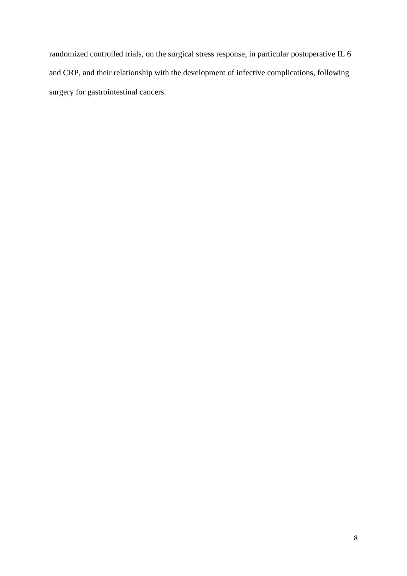randomized controlled trials, on the surgical stress response, in particular postoperative IL 6 and CRP, and their relationship with the development of infective complications, following surgery for gastrointestinal cancers.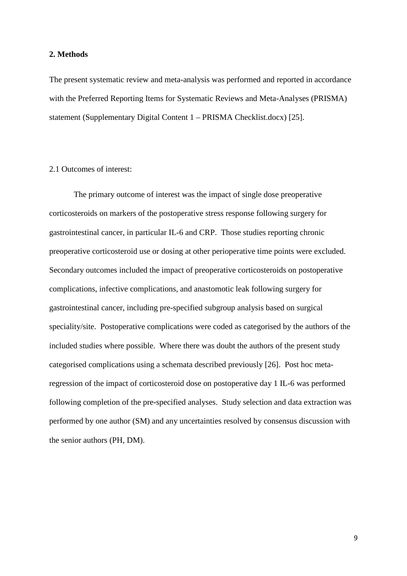#### **2. Methods**

The present systematic review and meta-analysis was performed and reported in accordance with the Preferred Reporting Items for Systematic Reviews and Meta-Analyses (PRISMA) statement (Supplementary Digital Content 1 – PRISMA Checklist.docx) [25].

#### 2.1 Outcomes of interest:

The primary outcome of interest was the impact of single dose preoperative corticosteroids on markers of the postoperative stress response following surgery for gastrointestinal cancer, in particular IL-6 and CRP. Those studies reporting chronic preoperative corticosteroid use or dosing at other perioperative time points were excluded. Secondary outcomes included the impact of preoperative corticosteroids on postoperative complications, infective complications, and anastomotic leak following surgery for gastrointestinal cancer, including pre-specified subgroup analysis based on surgical speciality/site. Postoperative complications were coded as categorised by the authors of the included studies where possible. Where there was doubt the authors of the present study categorised complications using a schemata described previously [26]. Post hoc metaregression of the impact of corticosteroid dose on postoperative day 1 IL-6 was performed following completion of the pre-specified analyses. Study selection and data extraction was performed by one author (SM) and any uncertainties resolved by consensus discussion with the senior authors (PH, DM).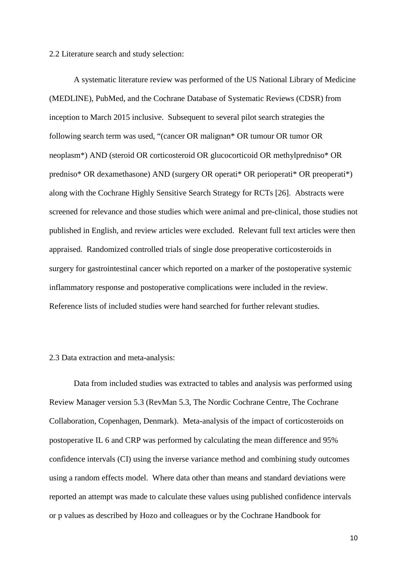#### 2.2 Literature search and study selection:

A systematic literature review was performed of the US National Library of Medicine (MEDLINE), PubMed, and the Cochrane Database of Systematic Reviews (CDSR) from inception to March 2015 inclusive. Subsequent to several pilot search strategies the following search term was used, "(cancer OR malignan\* OR tumour OR tumor OR neoplasm\*) AND (steroid OR corticosteroid OR glucocorticoid OR methylpredniso\* OR predniso\* OR dexamethasone) AND (surgery OR operati\* OR perioperati\* OR preoperati\*) along with the Cochrane Highly Sensitive Search Strategy for RCTs [26]. Abstracts were screened for relevance and those studies which were animal and pre-clinical, those studies not published in English, and review articles were excluded. Relevant full text articles were then appraised. Randomized controlled trials of single dose preoperative corticosteroids in surgery for gastrointestinal cancer which reported on a marker of the postoperative systemic inflammatory response and postoperative complications were included in the review. Reference lists of included studies were hand searched for further relevant studies.

#### 2.3 Data extraction and meta-analysis:

Data from included studies was extracted to tables and analysis was performed using Review Manager version 5.3 (RevMan 5.3, The Nordic Cochrane Centre, The Cochrane Collaboration, Copenhagen, Denmark). Meta-analysis of the impact of corticosteroids on postoperative IL 6 and CRP was performed by calculating the mean difference and 95% confidence intervals (CI) using the inverse variance method and combining study outcomes using a random effects model. Where data other than means and standard deviations were reported an attempt was made to calculate these values using published confidence intervals or p values as described by Hozo and colleagues or by the Cochrane Handbook for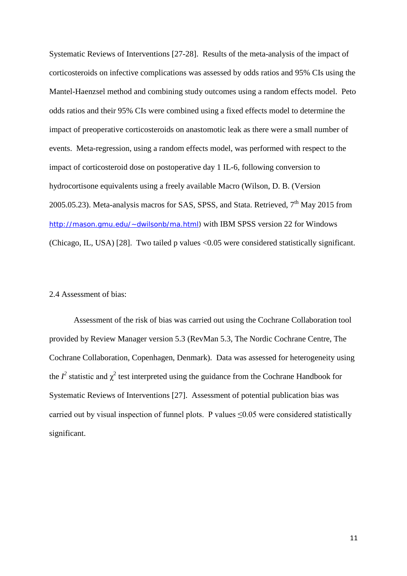Systematic Reviews of Interventions [27-28]. Results of the meta-analysis of the impact of corticosteroids on infective complications was assessed by odds ratios and 95% CIs using the Mantel-Haenzsel method and combining study outcomes using a random effects model. Peto odds ratios and their 95% CIs were combined using a fixed effects model to determine the impact of preoperative corticosteroids on anastomotic leak as there were a small number of events. Meta-regression, using a random effects model, was performed with respect to the impact of corticosteroid dose on postoperative day 1 IL-6, following conversion to hydrocortisone equivalents using a freely available Macro (Wilson, D. B. (Version 2005.05.23). Meta-analysis macros for SAS, SPSS, and Stata. Retrieved,  $7<sup>th</sup>$  May 2015 from [http://mason.gmu.edu/~dwilsonb/ma.html\)](http://mason.gmu.edu/~dwilsonb/ma.html) with IBM SPSS version 22 for Windows (Chicago, IL, USA) [28]. Two tailed p values <0.05 were considered statistically significant.

#### 2.4 Assessment of bias:

Assessment of the risk of bias was carried out using the Cochrane Collaboration tool provided by Review Manager version 5.3 (RevMan 5.3, The Nordic Cochrane Centre, The Cochrane Collaboration, Copenhagen, Denmark). Data was assessed for heterogeneity using the  $I^2$  statistic and  $\chi^2$  test interpreted using the guidance from the Cochrane Handbook for Systematic Reviews of Interventions [27]. Assessment of potential publication bias was carried out by visual inspection of funnel plots. P values  $\leq 0.05$  were considered statistically significant.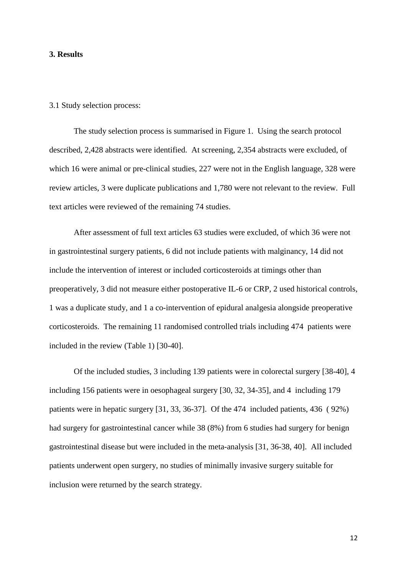#### **3. Results**

#### 3.1 Study selection process:

The study selection process is summarised in Figure 1. Using the search protocol described, 2,428 abstracts were identified. At screening, 2,354 abstracts were excluded, of which 16 were animal or pre-clinical studies, 227 were not in the English language, 328 were review articles, 3 were duplicate publications and 1,780 were not relevant to the review. Full text articles were reviewed of the remaining 74 studies.

After assessment of full text articles 63 studies were excluded, of which 36 were not in gastrointestinal surgery patients, 6 did not include patients with malginancy, 14 did not include the intervention of interest or included corticosteroids at timings other than preoperatively, 3 did not measure either postoperative IL-6 or CRP, 2 used historical controls, 1 was a duplicate study, and 1 a co-intervention of epidural analgesia alongside preoperative corticosteroids. The remaining 11 randomised controlled trials including 474 patients were included in the review (Table 1) [30-40].

Of the included studies, 3 including 139 patients were in colorectal surgery [38-40], 4 including 156 patients were in oesophageal surgery [30, 32, 34-35], and 4 including 179 patients were in hepatic surgery [31, 33, 36-37]. Of the 474 included patients, 436 ( 92%) had surgery for gastrointestinal cancer while 38 (8%) from 6 studies had surgery for benign gastrointestinal disease but were included in the meta-analysis [31, 36-38, 40]. All included patients underwent open surgery, no studies of minimally invasive surgery suitable for inclusion were returned by the search strategy.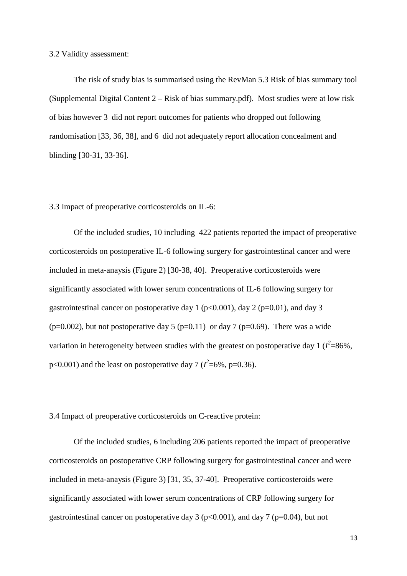3.2 Validity assessment:

The risk of study bias is summarised using the RevMan 5.3 Risk of bias summary tool (Supplemental Digital Content 2 – Risk of bias summary.pdf). Most studies were at low risk of bias however 3 did not report outcomes for patients who dropped out following randomisation [33, 36, 38], and 6 did not adequately report allocation concealment and blinding [30-31, 33-36].

3.3 Impact of preoperative corticosteroids on IL-6:

Of the included studies, 10 including 422 patients reported the impact of preoperative corticosteroids on postoperative IL-6 following surgery for gastrointestinal cancer and were included in meta-anaysis (Figure 2) [30-38, 40]. Preoperative corticosteroids were significantly associated with lower serum concentrations of IL-6 following surgery for gastrointestinal cancer on postoperative day 1 ( $p<0.001$ ), day 2 ( $p=0.01$ ), and day 3 (p=0.002), but not postoperative day 5 (p=0.11) or day 7 (p=0.69). There was a wide variation in heterogeneity between studies with the greatest on postoperative day 1 ( $I^2$ =86%,  $p<0.001$ ) and the least on postoperative day 7 ( $l^2$ =6%, p=0.36).

3.4 Impact of preoperative corticosteroids on C-reactive protein:

Of the included studies, 6 including 206 patients reported the impact of preoperative corticosteroids on postoperative CRP following surgery for gastrointestinal cancer and were included in meta-anaysis (Figure 3) [31, 35, 37-40]. Preoperative corticosteroids were significantly associated with lower serum concentrations of CRP following surgery for gastrointestinal cancer on postoperative day 3 ( $p<0.001$ ), and day 7 ( $p=0.04$ ), but not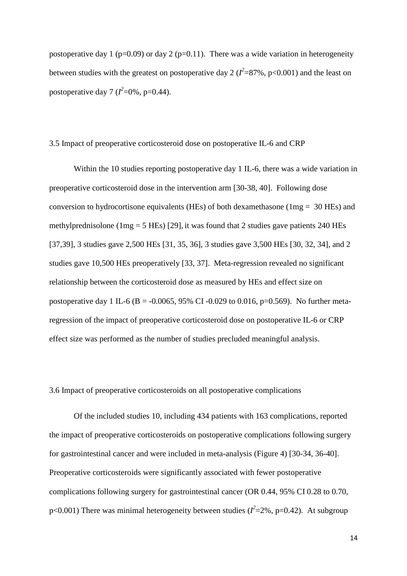postoperative day 1 ( $p=0.09$ ) or day 2 ( $p=0.11$ ). There was a wide variation in heterogeneity between studies with the greatest on postoperative day 2 ( $l^2$ =87%, p<0.001) and the least on postoperative day 7 ( $l^2$ =0%, p=0.44).

#### 3.5 Impact of preoperative corticosteroid dose on postoperative IL-6 and CRP

Within the 10 studies reporting postoperative day 1 IL-6, there was a wide variation in preoperative corticosteroid dose in the intervention arm [30-38, 40]. Following dose conversion to hydrocortisone equivalents (HEs) of both dexamethasone (1mg = 30 HEs) and methylprednisolone ( $1mg = 5$  HEs) [29], it was found that 2 studies gave patients 240 HEs [37,39], 3 studies gave 2,500 HEs [31, 35, 36], 3 studies gave 3,500 HEs [30, 32, 34], and 2 studies gave 10,500 HEs preoperatively [33, 37]. Meta-regression revealed no significant relationship between the corticosteroid dose as measured by HEs and effect size on postoperative day 1 IL-6 (B = -0.0065, 95% CI -0.029 to 0.016, p=0.569). No further metaregression of the impact of preoperative corticosteroid dose on postoperative IL-6 or CRP effect size was performed as the number of studies precluded meaningful analysis.

#### 3.6 Impact of preoperative corticosteroids on all postoperative complications

Of the included studies 10, including 434 patients with 163 complications, reported the impact of preoperative corticosteroids on postoperative complications following surgery for gastrointestinal cancer and were included in meta-analysis (Figure 4) [30-34, 36-40]. Preoperative corticosteroids were significantly associated with fewer postoperative complications following surgery for gastrointestinal cancer (OR 0.44, 95% CI 0.28 to 0.70,  $p<0.001$ ) There was minimal heterogeneity between studies ( $l^2$ =2%,  $p$ =0.42). At subgroup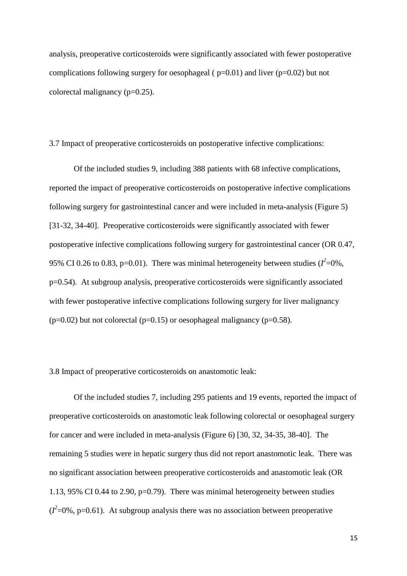analysis, preoperative corticosteroids were significantly associated with fewer postoperative complications following surgery for oesophageal ( $p=0.01$ ) and liver ( $p=0.02$ ) but not colorectal malignancy (p=0.25).

3.7 Impact of preoperative corticosteroids on postoperative infective complications:

Of the included studies 9, including 388 patients with 68 infective complications, reported the impact of preoperative corticosteroids on postoperative infective complications following surgery for gastrointestinal cancer and were included in meta-analysis (Figure 5) [31-32, 34-40]. Preoperative corticosteroids were significantly associated with fewer postoperative infective complications following surgery for gastrointestinal cancer (OR 0.47, 95% CI 0.26 to 0.83, p=0.01). There was minimal heterogeneity between studies  $(I^2=0\%$ , p=0.54). At subgroup analysis, preoperative corticosteroids were significantly associated with fewer postoperative infective complications following surgery for liver malignancy  $(p=0.02)$  but not colorectal  $(p=0.15)$  or oesophageal malignancy  $(p=0.58)$ .

3.8 Impact of preoperative corticosteroids on anastomotic leak:

Of the included studies 7, including 295 patients and 19 events, reported the impact of preoperative corticosteroids on anastomotic leak following colorectal or oesophageal surgery for cancer and were included in meta-analysis (Figure 6) [30, 32, 34-35, 38-40]. The remaining 5 studies were in hepatic surgery thus did not report anastomotic leak. There was no significant association between preoperative corticosteroids and anastomotic leak (OR 1.13, 95% CI 0.44 to 2.90, p=0.79). There was minimal heterogeneity between studies  $(I^2=0\%$ , p=0.61). At subgroup analysis there was no association between preoperative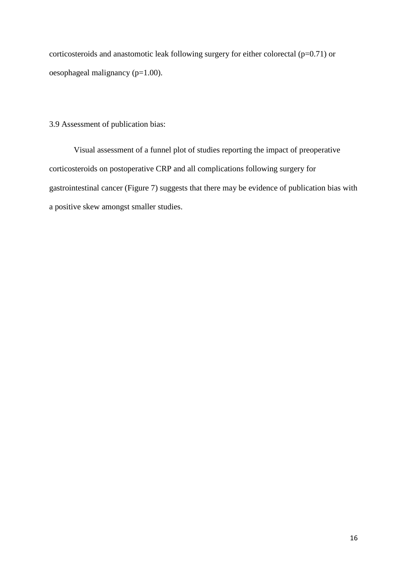corticosteroids and anastomotic leak following surgery for either colorectal  $(p=0.71)$  or oesophageal malignancy (p=1.00).

### 3.9 Assessment of publication bias:

Visual assessment of a funnel plot of studies reporting the impact of preoperative corticosteroids on postoperative CRP and all complications following surgery for gastrointestinal cancer (Figure 7) suggests that there may be evidence of publication bias with a positive skew amongst smaller studies.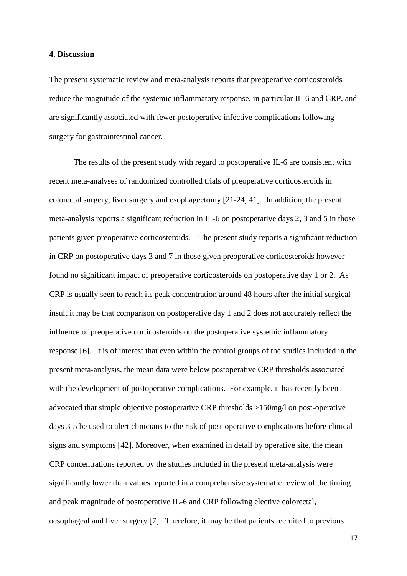#### **4. Discussion**

The present systematic review and meta-analysis reports that preoperative corticosteroids reduce the magnitude of the systemic inflammatory response, in particular IL-6 and CRP, and are significantly associated with fewer postoperative infective complications following surgery for gastrointestinal cancer.

The results of the present study with regard to postoperative IL-6 are consistent with recent meta-analyses of randomized controlled trials of preoperative corticosteroids in colorectal surgery, liver surgery and esophagectomy [21-24, 41]. In addition, the present meta-analysis reports a significant reduction in IL-6 on postoperative days 2, 3 and 5 in those patients given preoperative corticosteroids. The present study reports a significant reduction in CRP on postoperative days 3 and 7 in those given preoperative corticosteroids however found no significant impact of preoperative corticosteroids on postoperative day 1 or 2. As CRP is usually seen to reach its peak concentration around 48 hours after the initial surgical insult it may be that comparison on postoperative day 1 and 2 does not accurately reflect the influence of preoperative corticosteroids on the postoperative systemic inflammatory response [6]. It is of interest that even within the control groups of the studies included in the present meta-analysis, the mean data were below postoperative CRP thresholds associated with the development of postoperative complications. For example, it has recently been advocated that simple objective postoperative CRP thresholds >150mg/l on post-operative days 3-5 be used to alert clinicians to the risk of post-operative complications before clinical signs and symptoms [42]. Moreover, when examined in detail by operative site, the mean CRP concentrations reported by the studies included in the present meta-analysis were significantly lower than values reported in a comprehensive systematic review of the timing and peak magnitude of postoperative IL-6 and CRP following elective colorectal, oesophageal and liver surgery [7]. Therefore, it may be that patients recruited to previous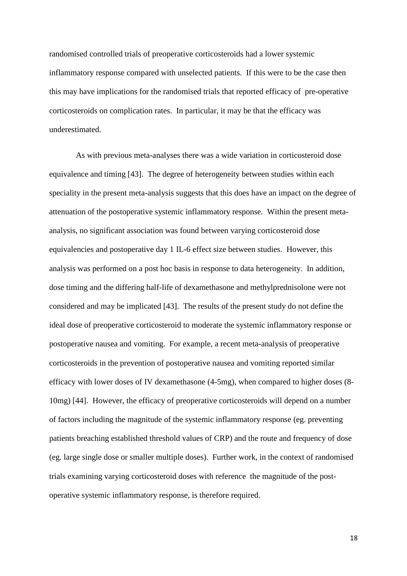randomised controlled trials of preoperative corticosteroids had a lower systemic inflammatory response compared with unselected patients. If this were to be the case then this may have implications for the randomised trials that reported efficacy of pre-operative corticosteroids on complication rates. In particular, it may be that the efficacy was underestimated.

As with previous meta-analyses there was a wide variation in corticosteroid dose equivalence and timing [43]. The degree of heterogeneity between studies within each speciality in the present meta-analysis suggests that this does have an impact on the degree of attenuation of the postoperative systemic inflammatory response. Within the present metaanalysis, no significant association was found between varying corticosteroid dose equivalencies and postoperative day 1 IL-6 effect size between studies. However, this analysis was performed on a post hoc basis in response to data heterogeneity. In addition, dose timing and the differing half-life of dexamethasone and methylprednisolone were not considered and may be implicated [43]. The results of the present study do not define the ideal dose of preoperative corticosteroid to moderate the systemic inflammatory response or postoperative nausea and vomiting. For example, a recent meta-analysis of preoperative corticosteroids in the prevention of postoperative nausea and vomiting reported similar efficacy with lower doses of IV dexamethasone (4-5mg), when compared to higher doses (8- 10mg) [44]. However, the efficacy of preoperative corticosteroids will depend on a number of factors including the magnitude of the systemic inflammatory response (eg. preventing patients breaching established threshold values of CRP) and the route and frequency of dose (eg. large single dose or smaller multiple doses). Further work, in the context of randomised trials examining varying corticosteroid doses with reference the magnitude of the postoperative systemic inflammatory response, is therefore required.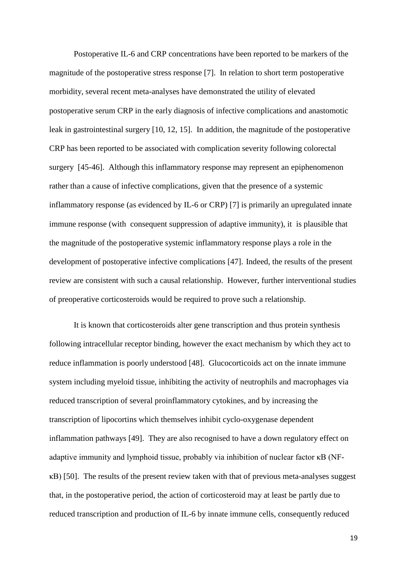Postoperative IL-6 and CRP concentrations have been reported to be markers of the magnitude of the postoperative stress response [7]. In relation to short term postoperative morbidity, several recent meta-analyses have demonstrated the utility of elevated postoperative serum CRP in the early diagnosis of infective complications and anastomotic leak in gastrointestinal surgery [10, 12, 15]. In addition, the magnitude of the postoperative CRP has been reported to be associated with complication severity following colorectal surgery [45-46]. Although this inflammatory response may represent an epiphenomenon rather than a cause of infective complications, given that the presence of a systemic inflammatory response (as evidenced by IL-6 or CRP) [7] is primarily an upregulated innate immune response (with consequent suppression of adaptive immunity), it is plausible that the magnitude of the postoperative systemic inflammatory response plays a role in the development of postoperative infective complications [47]. Indeed, the results of the present review are consistent with such a causal relationship. However, further interventional studies of preoperative corticosteroids would be required to prove such a relationship.

It is known that corticosteroids alter gene transcription and thus protein synthesis following intracellular receptor binding, however the exact mechanism by which they act to reduce inflammation is poorly understood [48]. Glucocorticoids act on the innate immune system including myeloid tissue, inhibiting the activity of neutrophils and macrophages via reduced transcription of several proinflammatory cytokines, and by increasing the transcription of lipocortins which themselves inhibit cyclo-oxygenase dependent inflammation pathways [49]. They are also recognised to have a down regulatory effect on adaptive immunity and lymphoid tissue, probably via inhibition of nuclear factor κB (NFκB) [50]. The results of the present review taken with that of previous meta-analyses suggest that, in the postoperative period, the action of corticosteroid may at least be partly due to reduced transcription and production of IL-6 by innate immune cells, consequently reduced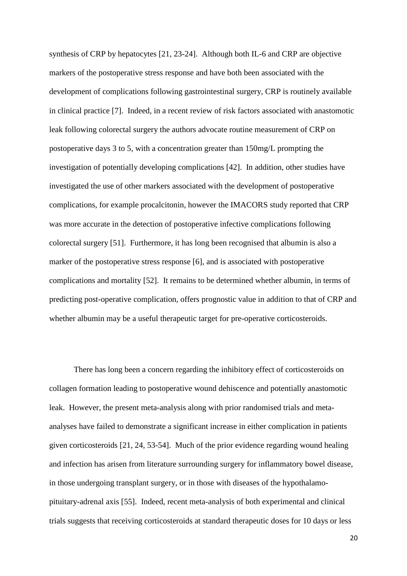synthesis of CRP by hepatocytes [21, 23-24]. Although both IL-6 and CRP are objective markers of the postoperative stress response and have both been associated with the development of complications following gastrointestinal surgery, CRP is routinely available in clinical practice [7]. Indeed, in a recent review of risk factors associated with anastomotic leak following colorectal surgery the authors advocate routine measurement of CRP on postoperative days 3 to 5, with a concentration greater than 150mg/L prompting the investigation of potentially developing complications [42]. In addition, other studies have investigated the use of other markers associated with the development of postoperative complications, for example procalcitonin, however the IMACORS study reported that CRP was more accurate in the detection of postoperative infective complications following colorectal surgery [51]. Furthermore, it has long been recognised that albumin is also a marker of the postoperative stress response [6], and is associated with postoperative complications and mortality [52]. It remains to be determined whether albumin, in terms of predicting post-operative complication, offers prognostic value in addition to that of CRP and whether albumin may be a useful therapeutic target for pre-operative corticosteroids.

There has long been a concern regarding the inhibitory effect of corticosteroids on collagen formation leading to postoperative wound dehiscence and potentially anastomotic leak. However, the present meta-analysis along with prior randomised trials and metaanalyses have failed to demonstrate a significant increase in either complication in patients given corticosteroids [21, 24, 53-54]. Much of the prior evidence regarding wound healing and infection has arisen from literature surrounding surgery for inflammatory bowel disease, in those undergoing transplant surgery, or in those with diseases of the hypothalamopituitary-adrenal axis [55]. Indeed, recent meta-analysis of both experimental and clinical trials suggests that receiving corticosteroids at standard therapeutic doses for 10 days or less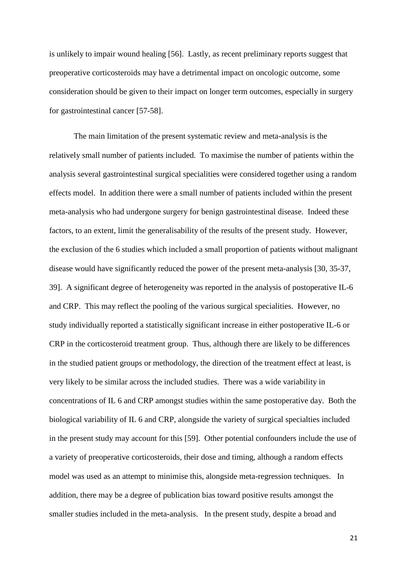is unlikely to impair wound healing [56]. Lastly, as recent preliminary reports suggest that preoperative corticosteroids may have a detrimental impact on oncologic outcome, some consideration should be given to their impact on longer term outcomes, especially in surgery for gastrointestinal cancer [57-58].

The main limitation of the present systematic review and meta-analysis is the relatively small number of patients included. To maximise the number of patients within the analysis several gastrointestinal surgical specialities were considered together using a random effects model. In addition there were a small number of patients included within the present meta-analysis who had undergone surgery for benign gastrointestinal disease. Indeed these factors, to an extent, limit the generalisability of the results of the present study. However, the exclusion of the 6 studies which included a small proportion of patients without malignant disease would have significantly reduced the power of the present meta-analysis [30, 35-37, 39]. A significant degree of heterogeneity was reported in the analysis of postoperative IL-6 and CRP. This may reflect the pooling of the various surgical specialities. However, no study individually reported a statistically significant increase in either postoperative IL-6 or CRP in the corticosteroid treatment group. Thus, although there are likely to be differences in the studied patient groups or methodology, the direction of the treatment effect at least, is very likely to be similar across the included studies. There was a wide variability in concentrations of IL 6 and CRP amongst studies within the same postoperative day. Both the biological variability of IL 6 and CRP, alongside the variety of surgical specialties included in the present study may account for this [59]. Other potential confounders include the use of a variety of preoperative corticosteroids, their dose and timing, although a random effects model was used as an attempt to minimise this, alongside meta-regression techniques. In addition, there may be a degree of publication bias toward positive results amongst the smaller studies included in the meta-analysis. In the present study, despite a broad and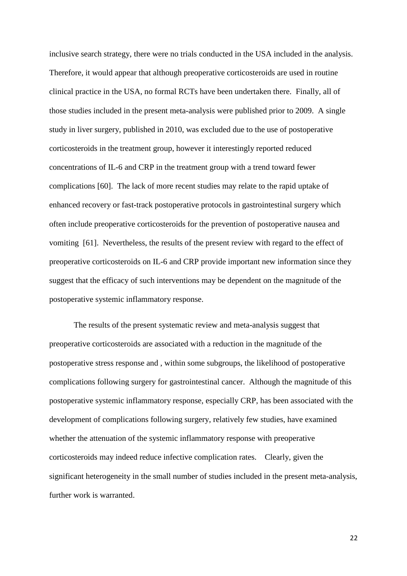inclusive search strategy, there were no trials conducted in the USA included in the analysis. Therefore, it would appear that although preoperative corticosteroids are used in routine clinical practice in the USA, no formal RCTs have been undertaken there. Finally, all of those studies included in the present meta-analysis were published prior to 2009. A single study in liver surgery, published in 2010, was excluded due to the use of postoperative corticosteroids in the treatment group, however it interestingly reported reduced concentrations of IL-6 and CRP in the treatment group with a trend toward fewer complications [60]. The lack of more recent studies may relate to the rapid uptake of enhanced recovery or fast-track postoperative protocols in gastrointestinal surgery which often include preoperative corticosteroids for the prevention of postoperative nausea and vomiting [61]. Nevertheless, the results of the present review with regard to the effect of preoperative corticosteroids on IL-6 and CRP provide important new information since they suggest that the efficacy of such interventions may be dependent on the magnitude of the postoperative systemic inflammatory response.

The results of the present systematic review and meta-analysis suggest that preoperative corticosteroids are associated with a reduction in the magnitude of the postoperative stress response and , within some subgroups, the likelihood of postoperative complications following surgery for gastrointestinal cancer. Although the magnitude of this postoperative systemic inflammatory response, especially CRP, has been associated with the development of complications following surgery, relatively few studies, have examined whether the attenuation of the systemic inflammatory response with preoperative corticosteroids may indeed reduce infective complication rates. Clearly, given the significant heterogeneity in the small number of studies included in the present meta-analysis, further work is warranted.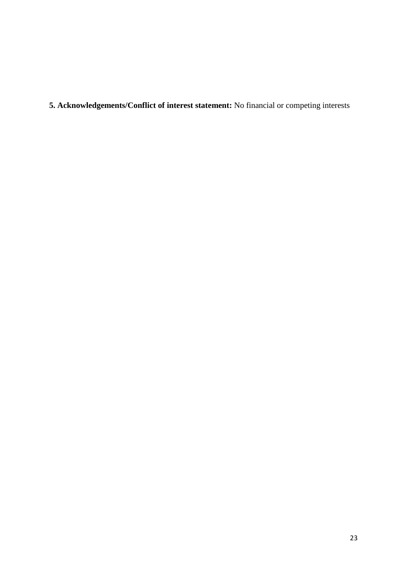**5. Acknowledgements/Conflict of interest statement:** No financial or competing interests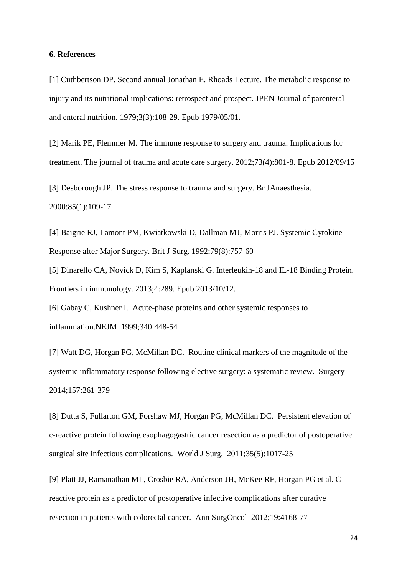#### **6. References**

[1] Cuthbertson DP. Second annual Jonathan E. Rhoads Lecture. The metabolic response to injury and its nutritional implications: retrospect and prospect. JPEN Journal of parenteral and enteral nutrition. 1979;3(3):108-29. Epub 1979/05/01.

[2] Marik PE, Flemmer M. The immune response to surgery and trauma: Implications for treatment. The journal of trauma and acute care surgery. 2012;73(4):801-8. Epub 2012/09/15

[3] Desborough JP. The stress response to trauma and surgery. Br JAnaesthesia. 2000;85(1):109-17

[4] Baigrie RJ, Lamont PM, Kwiatkowski D, Dallman MJ, Morris PJ. Systemic Cytokine Response after Major Surgery. Brit J Surg. 1992;79(8):757-60

[5] Dinarello CA, Novick D, Kim S, Kaplanski G. Interleukin-18 and IL-18 Binding Protein. Frontiers in immunology. 2013;4:289. Epub 2013/10/12.

[6] Gabay C, Kushner I. Acute-phase proteins and other systemic responses to inflammation.NEJM 1999;340:448-54

[7] Watt DG, Horgan PG, McMillan DC. Routine clinical markers of the magnitude of the systemic inflammatory response following elective surgery: a systematic review. Surgery 2014;157:261-379

[8] Dutta S, Fullarton GM, Forshaw MJ, Horgan PG, McMillan DC. Persistent elevation of c-reactive protein following esophagogastric cancer resection as a predictor of postoperative surgical site infectious complications. World J Surg. 2011;35(5):1017-25

[9] Platt JJ, Ramanathan ML, Crosbie RA, Anderson JH, McKee RF, Horgan PG et al. Creactive protein as a predictor of postoperative infective complications after curative resection in patients with colorectal cancer. Ann SurgOncol 2012;19:4168-77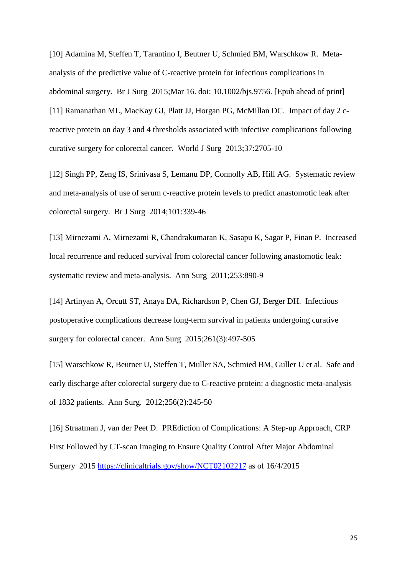[10] Adamina M, Steffen T, Tarantino I, Beutner U, Schmied BM, Warschkow R. Metaanalysis of the predictive value of C-reactive protein for infectious complications in abdominal surgery. Br J Surg 2015;Mar 16. doi: 10.1002/bjs.9756. [Epub ahead of print] [11] Ramanathan ML, MacKay GJ, Platt JJ, Horgan PG, McMillan DC. Impact of day 2 creactive protein on day 3 and 4 thresholds associated with infective complications following curative surgery for colorectal cancer. World J Surg 2013;37:2705-10

[12] Singh PP, Zeng IS, Srinivasa S, Lemanu DP, Connolly AB, Hill AG. Systematic review and meta-analysis of use of serum c-reactive protein levels to predict anastomotic leak after colorectal surgery. Br J Surg 2014;101:339-46

[13] Mirnezami A, Mirnezami R, Chandrakumaran K, Sasapu K, Sagar P, Finan P. Increased local recurrence and reduced survival from colorectal cancer following anastomotic leak: systematic review and meta-analysis. Ann Surg 2011;253:890-9

[14] Artinyan A, Orcutt ST, Anaya DA, Richardson P, Chen GJ, Berger DH. Infectious postoperative complications decrease long-term survival in patients undergoing curative surgery for colorectal cancer. Ann Surg 2015;261(3):497-505

[15] Warschkow R, Beutner U, Steffen T, Muller SA, Schmied BM, Guller U et al. Safe and early discharge after colorectal surgery due to C-reactive protein: a diagnostic meta-analysis of 1832 patients. Ann Surg. 2012;256(2):245-50

[16] Straatman J, van der Peet D. PREdiction of Complications: A Step-up Approach, CRP First Followed by CT-scan Imaging to Ensure Quality Control After Major Abdominal Surgery 2015<https://clinicaltrials.gov/show/NCT02102217> as of 16/4/2015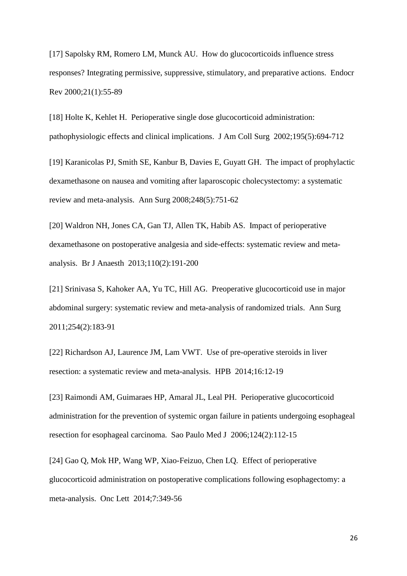[17] Sapolsky RM, Romero LM, Munck AU. How do glucocorticoids influence stress responses? Integrating permissive, suppressive, stimulatory, and preparative actions. Endocr Rev 2000;21(1):55-89

[18] Holte K, Kehlet H. Perioperative single dose glucocorticoid administration: pathophysiologic effects and clinical implications. J Am Coll Surg 2002;195(5):694-712

[19] Karanicolas PJ, Smith SE, Kanbur B, Davies E, Guyatt GH. The impact of prophylactic dexamethasone on nausea and vomiting after laparoscopic cholecystectomy: a systematic review and meta-analysis. Ann Surg 2008;248(5):751-62

[20] Waldron NH, Jones CA, Gan TJ, Allen TK, Habib AS. Impact of perioperative dexamethasone on postoperative analgesia and side-effects: systematic review and metaanalysis. Br J Anaesth 2013;110(2):191-200

[21] Srinivasa S, Kahoker AA, Yu TC, Hill AG. Preoperative glucocorticoid use in major abdominal surgery: systematic review and meta-analysis of randomized trials. Ann Surg 2011;254(2):183-91

[22] Richardson AJ, Laurence JM, Lam VWT. Use of pre-operative steroids in liver resection: a systematic review and meta-analysis. HPB 2014;16:12-19

[23] Raimondi AM, Guimaraes HP, Amaral JL, Leal PH. Perioperative glucocorticoid administration for the prevention of systemic organ failure in patients undergoing esophageal resection for esophageal carcinoma. Sao Paulo Med J 2006;124(2):112-15

[24] Gao Q, Mok HP, Wang WP, Xiao-Feizuo, Chen LQ. Effect of perioperative glucocorticoid administration on postoperative complications following esophagectomy: a meta-analysis. Onc Lett 2014;7:349-56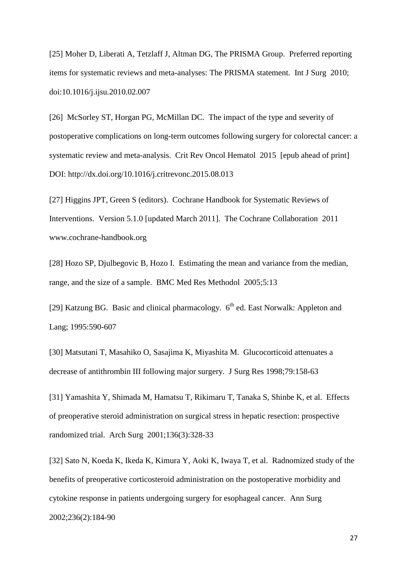[25] Moher D, Liberati A, Tetzlaff J, Altman DG, The PRISMA Group. Preferred reporting items for systematic reviews and meta-analyses: The PRISMA statement. Int J Surg 2010; doi:10.1016/j.ijsu.2010.02.007

[26] McSorley ST, Horgan PG, McMillan DC. The impact of the type and severity of postoperative complications on long-term outcomes following surgery for colorectal cancer: a systematic review and meta-analysis. Crit Rev Oncol Hematol 2015 [epub ahead of print] DOI: http://dx.doi.org/10.1016/j.critrevonc.2015.08.013

[27] Higgins JPT, Green S (editors). Cochrane Handbook for Systematic Reviews of Interventions. Version 5.1.0 [updated March 2011]. The Cochrane Collaboration 2011 www.cochrane-handbook.org

[28] Hozo SP, Djulbegovic B, Hozo I. Estimating the mean and variance from the median, range, and the size of a sample. BMC Med Res Methodol 2005;5:13

[29] Katzung BG. Basic and clinical pharmacology.  $6<sup>th</sup>$  ed. East Norwalk: Appleton and Lang; 1995:590-607

[30] Matsutani T, Masahiko O, Sasajima K, Miyashita M. Glucocorticoid attenuates a decrease of antithrombin III following major surgery. J Surg Res 1998;79:158-63

[31] Yamashita Y, Shimada M, Hamatsu T, Rikimaru T, Tanaka S, Shinbe K, et al. Effects of preoperative steroid administration on surgical stress in hepatic resection: prospective randomized trial. Arch Surg 2001;136(3):328-33

[32] Sato N, Koeda K, Ikeda K, Kimura Y, Aoki K, Iwaya T, et al. Radnomized study of the benefits of preoperative corticosteroid administration on the postoperative morbidity and cytokine response in patients undergoing surgery for esophageal cancer. Ann Surg 2002;236(2):184-90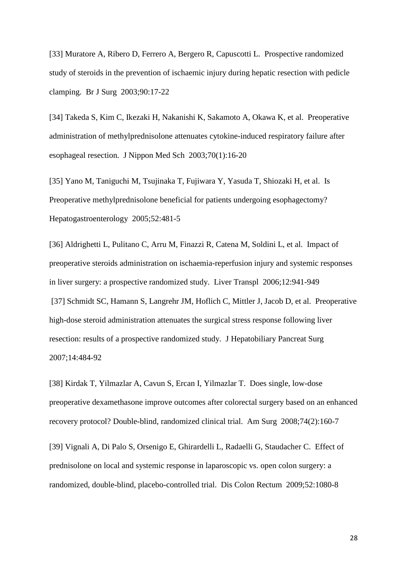[33] Muratore A, Ribero D, Ferrero A, Bergero R, Capuscotti L. Prospective randomized study of steroids in the prevention of ischaemic injury during hepatic resection with pedicle clamping. Br J Surg 2003;90:17-22

[34] Takeda S, Kim C, Ikezaki H, Nakanishi K, Sakamoto A, Okawa K, et al. Preoperative administration of methylprednisolone attenuates cytokine-induced respiratory failure after esophageal resection. J Nippon Med Sch 2003;70(1):16-20

[35] Yano M, Taniguchi M, Tsujinaka T, Fujiwara Y, Yasuda T, Shiozaki H, et al. Is Preoperative methylprednisolone beneficial for patients undergoing esophagectomy? Hepatogastroenterology 2005;52:481-5

[36] Aldrighetti L, Pulitano C, Arru M, Finazzi R, Catena M, Soldini L, et al. Impact of preoperative steroids administration on ischaemia-reperfusion injury and systemic responses in liver surgery: a prospective randomized study. Liver Transpl 2006;12:941-949 [37] Schmidt SC, Hamann S, Langrehr JM, Hoflich C, Mittler J, Jacob D, et al. Preoperative high-dose steroid administration attenuates the surgical stress response following liver resection: results of a prospective randomized study. J Hepatobiliary Pancreat Surg 2007;14:484-92

[38] Kirdak T, Yilmazlar A, Cavun S, Ercan I, Yilmazlar T. Does single, low-dose preoperative dexamethasone improve outcomes after colorectal surgery based on an enhanced recovery protocol? Double-blind, randomized clinical trial. Am Surg 2008;74(2):160-7

[39] Vignali A, Di Palo S, Orsenigo E, Ghirardelli L, Radaelli G, Staudacher C. Effect of prednisolone on local and systemic response in laparoscopic vs. open colon surgery: a randomized, double-blind, placebo-controlled trial. Dis Colon Rectum 2009;52:1080-8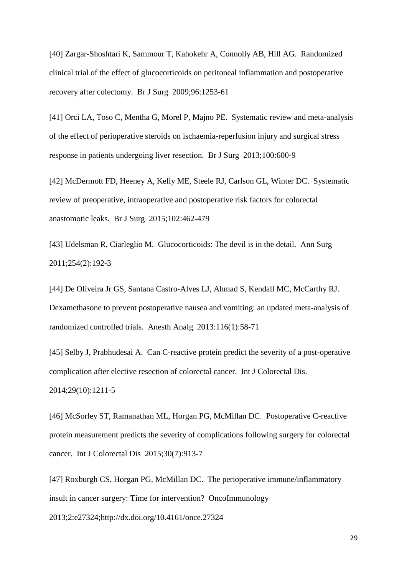[40] Zargar-Shoshtari K, Sammour T, Kahokehr A, Connolly AB, Hill AG. Randomized clinical trial of the effect of glucocorticoids on peritoneal inflammation and postoperative recovery after colectomy. Br J Surg 2009;96:1253-61

[41] Orci LA, Toso C, Mentha G, Morel P, Majno PE. Systematic review and meta-analysis of the effect of perioperative steroids on ischaemia-reperfusion injury and surgical stress response in patients undergoing liver resection. Br J Surg 2013;100:600-9

[42] McDermott FD, Heeney A, Kelly ME, Steele RJ, Carlson GL, Winter DC. Systematic review of preoperative, intraoperative and postoperative risk factors for colorectal anastomotic leaks. Br J Surg 2015;102:462-479

[43] Udelsman R, Ciarleglio M. Glucocorticoids: The devil is in the detail. Ann Surg 2011;254(2):192-3

[44] De Oliveira Jr GS, Santana Castro-Alves LJ, Ahmad S, Kendall MC, McCarthy RJ. Dexamethasone to prevent postoperative nausea and vomiting: an updated meta-analysis of randomized controlled trials. Anesth Analg 2013:116(1):58-71

[45] Selby J, Prabhudesai A. Can C-reactive protein predict the severity of a post-operative complication after elective resection of colorectal cancer. Int J Colorectal Dis. 2014;29(10):1211-5

[46] McSorley ST, Ramanathan ML, Horgan PG, McMillan DC. Postoperative C-reactive protein measurement predicts the severity of complications following surgery for colorectal cancer. Int J Colorectal Dis 2015;30(7):913-7

[47] Roxburgh CS, Horgan PG, McMillan DC. The perioperative immune/inflammatory insult in cancer surgery: Time for intervention? OncoImmunology

2013;2:e27324;http://dx.doi.org/10.4161/once.27324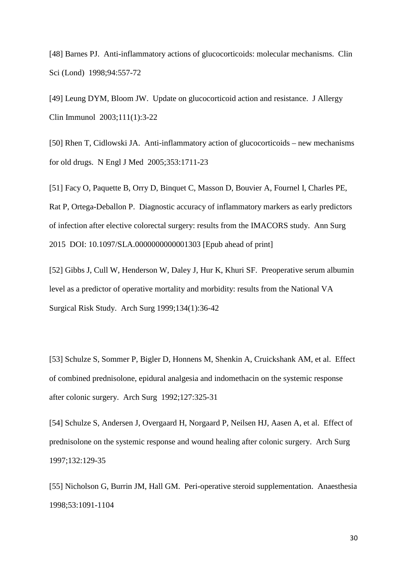[48] Barnes PJ. Anti-inflammatory actions of glucocorticoids: molecular mechanisms. Clin Sci (Lond) 1998;94:557-72

[49] Leung DYM, Bloom JW. Update on glucocorticoid action and resistance. J Allergy Clin Immunol 2003;111(1):3-22

[50] Rhen T, Cidlowski JA. Anti-inflammatory action of glucocorticoids – new mechanisms for old drugs. N Engl J Med 2005;353:1711-23

[51] Facy O, Paquette B, Orry D, Binquet C, Masson D, Bouvier A, Fournel I, Charles PE, Rat P, Ortega-Deballon P. Diagnostic accuracy of inflammatory markers as early predictors of infection after elective colorectal surgery: results from the IMACORS study. Ann Surg 2015 DOI: 10.1097/SLA.0000000000001303 [Epub ahead of print]

[52] Gibbs J, Cull W, Henderson W, Daley J, Hur K, Khuri SF. Preoperative serum albumin level as a predictor of operative mortality and morbidity: results from the National VA Surgical Risk Study. Arch Surg 1999;134(1):36-42

[53] Schulze S, Sommer P, Bigler D, Honnens M, Shenkin A, Cruickshank AM, et al. Effect of combined prednisolone, epidural analgesia and indomethacin on the systemic response after colonic surgery. Arch Surg 1992;127:325-31

[54] Schulze S, Andersen J, Overgaard H, Norgaard P, Neilsen HJ, Aasen A, et al. Effect of prednisolone on the systemic response and wound healing after colonic surgery. Arch Surg 1997;132:129-35

[55] Nicholson G, Burrin JM, Hall GM. Peri-operative steroid supplementation. Anaesthesia 1998;53:1091-1104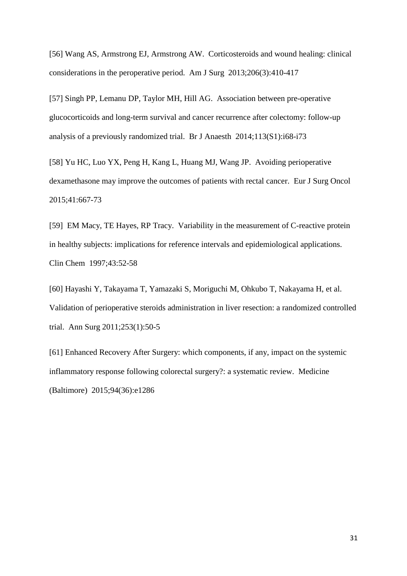[56] Wang AS, Armstrong EJ, Armstrong AW. Corticosteroids and wound healing: clinical considerations in the peroperative period. Am J Surg 2013;206(3):410-417

[57] Singh PP, Lemanu DP, Taylor MH, Hill AG. Association between pre-operative glucocorticoids and long-term survival and cancer recurrence after colectomy: follow-up analysis of a previously randomized trial. Br J Anaesth 2014;113(S1):i68-i73

[58] Yu HC, Luo YX, Peng H, Kang L, Huang MJ, Wang JP. Avoiding perioperative dexamethasone may improve the outcomes of patients with rectal cancer. Eur J Surg Oncol 2015;41:667-73

[59] EM Macy, TE Hayes, RP Tracy. Variability in the measurement of C-reactive protein in healthy subjects: implications for reference intervals and epidemiological applications. Clin Chem 1997;43:52-58

[60] Hayashi Y, Takayama T, Yamazaki S, Moriguchi M, Ohkubo T, Nakayama H, et al. Validation of perioperative steroids administration in liver resection: a randomized controlled trial. Ann Surg 2011;253(1):50-5

[61] Enhanced Recovery After Surgery: which components, if any, impact on the systemic inflammatory response following colorectal surgery?: a systematic review. Medicine (Baltimore) 2015;94(36):e1286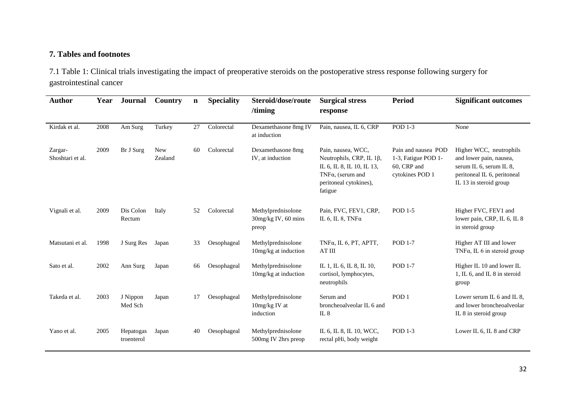## **7. Tables and footnotes**

7.1 Table 1: Clinical trials investigating the impact of preoperative steroids on the postoperative stress response following surgery for gastrointestinal cancer

| <b>Author</b>               | Year | <b>Journal</b>          | Country               | $\mathbf n$ | <b>Speciality</b> | Steroid/dose/route<br>/timing                        | <b>Surgical stress</b><br>response                                                                                                                   | <b>Period</b>                                                                | <b>Significant outcomes</b>                                                                                                            |  |
|-----------------------------|------|-------------------------|-----------------------|-------------|-------------------|------------------------------------------------------|------------------------------------------------------------------------------------------------------------------------------------------------------|------------------------------------------------------------------------------|----------------------------------------------------------------------------------------------------------------------------------------|--|
| Kirdak et al.               | 2008 | Am Surg                 | Turkey                | 27          | Colorectal        | Dexamethasone 8mg IV<br>at induction                 | Pain, nausea, IL 6, CRP                                                                                                                              | <b>POD 1-3</b>                                                               | None                                                                                                                                   |  |
| Zargar-<br>Shoshtari et al. | 2009 | Br J Surg               | <b>New</b><br>Zealand | 60          | Colorectal        | Dexamethasone 8mg<br>IV, at induction                | Pain, nausea, WCC,<br>Neutrophils, CRP, IL $1\beta$ ,<br>IL 6, IL 8, IL 10, IL 13,<br>TNF $\alpha$ , (serum and<br>peritoneal cytokines),<br>fatigue | Pain and nausea POD<br>1-3, Fatigue POD 1-<br>60, CRP and<br>cytokines POD 1 | Higher WCC, neutrophils<br>and lower pain, nausea,<br>serum IL 6, serum IL 8,<br>peritoneal IL 6, peritoneal<br>IL 13 in steroid group |  |
| Vignali et al.              | 2009 | Dis Colon<br>Rectum     | Italy                 | 52          | Colorectal        | Methylprednisolone<br>$30mg/kg$ IV, 60 mins<br>preop | Pain, FVC, FEV1, CRP,<br>IL 6, IL 8, TNF $\alpha$                                                                                                    | <b>POD 1-5</b>                                                               | Higher FVC, FEV1 and<br>lower pain, CRP, IL 6, IL 8<br>in steroid group                                                                |  |
| Matsutani et al.            | 1998 | J Surg Res              | Japan                 | 33          | Oesophageal       | Methylprednisolone<br>10mg/kg at induction           | TNFa, IL 6, PT, APTT,<br>AT III                                                                                                                      | <b>POD 1-7</b>                                                               | Higher AT III and lower<br>TNF $\alpha$ , IL 6 in steroid group                                                                        |  |
| Sato et al.                 | 2002 | Ann Surg                | Japan                 | 66          | Oesophageal       | Methylprednisolone<br>10mg/kg at induction           | IL 1, IL 6, IL 8, IL 10,<br>cortisol, lymphocytes,<br>neutrophils                                                                                    | <b>POD 1-7</b>                                                               | Higher IL 10 and lower IL<br>1, IL 6, and IL 8 in steroid<br>group                                                                     |  |
| Takeda et al.               | 2003 | J Nippon<br>Med Sch     | Japan                 | 17          | Oesophageal       | Methylprednisolone<br>10mg/kg IV at<br>induction     | Serum and<br>broncheoalveolar IL 6 and<br>IL $8$                                                                                                     | POD <sub>1</sub>                                                             | Lower serum IL 6 and IL 8,<br>and lower broncheoalveolar<br>IL 8 in steroid group                                                      |  |
| Yano et al.                 | 2005 | Hepatogas<br>troenterol | Japan                 | 40          | Oesophageal       | Methylprednisolone<br>500mg IV 2hrs preop            | IL 6, IL 8, IL 10, WCC,<br>rectal pHi, body weight                                                                                                   | POD 1-3                                                                      | Lower IL 6, IL 8 and CRP                                                                                                               |  |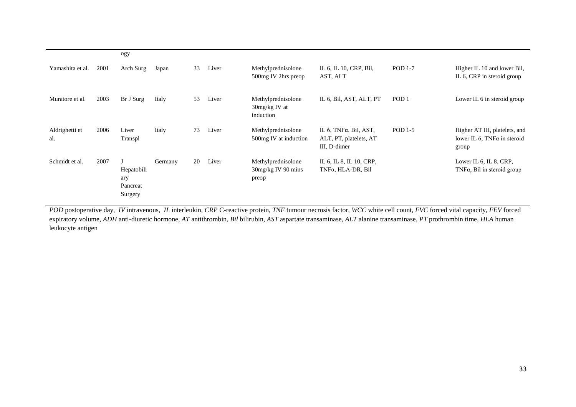|                       |      | ogy                                      |         |    |       |                                                     |                                                                             |                  |                                                                               |
|-----------------------|------|------------------------------------------|---------|----|-------|-----------------------------------------------------|-----------------------------------------------------------------------------|------------------|-------------------------------------------------------------------------------|
| Yamashita et al.      | 2001 | Arch Surg                                | Japan   | 33 | Liver | Methylprednisolone<br>500mg IV 2hrs preop           | IL 6, IL 10, CRP, Bil,<br>AST, ALT                                          | <b>POD 1-7</b>   | Higher IL 10 and lower Bil,<br>IL 6, CRP in steroid group                     |
| Muratore et al.       | 2003 | Br J Surg                                | Italy   | 53 | Liver | Methylprednisolone<br>30mg/kg IV at<br>induction    | IL 6, Bil, AST, ALT, PT                                                     | POD <sub>1</sub> | Lower IL 6 in steroid group                                                   |
| Aldrighetti et<br>al. | 2006 | Liver<br>Transpl                         | Italy   | 73 | Liver | Methylprednisolone<br>500mg IV at induction         | IL $6$ , TNF $\alpha$ , Bil, AST,<br>ALT, PT, platelets, AT<br>III, D-dimer | POD 1-5          | Higher AT III, platelets, and<br>lower IL 6, TNF $\alpha$ in steroid<br>group |
| Schmidt et al.        | 2007 | Hepatobili<br>ary<br>Pancreat<br>Surgery | Germany | 20 | Liver | Methylprednisolone<br>$30mg/kg$ IV 90 mins<br>preop | IL 6, IL 8, IL 10, CRP,<br>TNFα, HLA-DR, Bil                                |                  | Lower IL 6, IL 8, CRP,<br>$TNF\alpha$ , Bil in steroid group                  |

*POD* postoperative day, *IV* intravenous, *IL* interleukin, *CRP* C-reactive protein, *TNF* tumour necrosis factor, *WCC* white cell count, *FVC* forced vital capacity, *FEV* forced expiratory volume, *ADH* anti-diuretic hormone, *AT* antithrombin, *Bil* bilirubin, *AST* aspartate transaminase, *ALT* alanine transaminase, *PT* prothrombin time, *HLA* human leukocyte antigen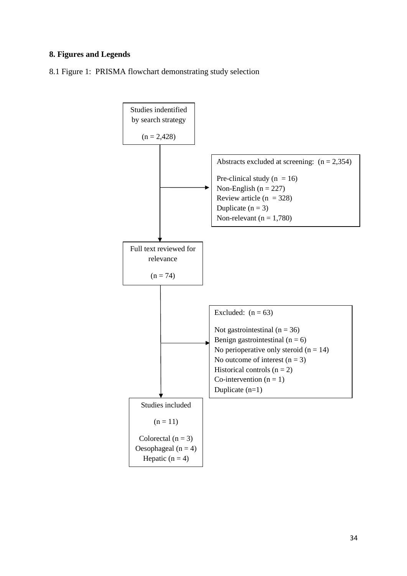### **8. Figures and Legends**

8.1 Figure 1: PRISMA flowchart demonstrating study selection

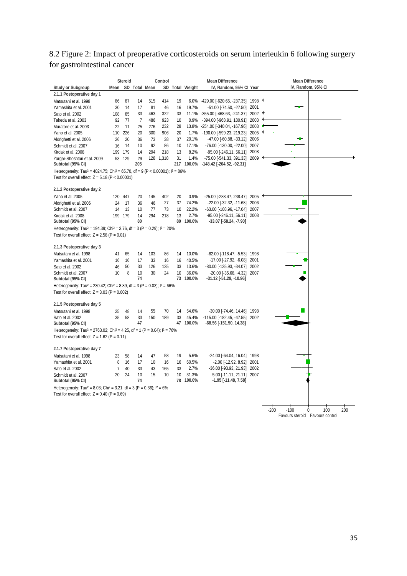## 8.2 Figure 2: Impact of preoperative corticosteroids on serum interleukin 6 following surgery for gastrointestinal cancer

|                                                                                                                                                      |                | <b>Steroid</b> |                |               | Control   |          | <b>Mean Difference</b> |                                                                    |      | <b>Mean Difference</b>                     |  |  |
|------------------------------------------------------------------------------------------------------------------------------------------------------|----------------|----------------|----------------|---------------|-----------|----------|------------------------|--------------------------------------------------------------------|------|--------------------------------------------|--|--|
| <b>Study or Subgroup</b>                                                                                                                             | Mean           |                |                | SD Total Mean |           |          | SD Total Weight        | IV, Random, 95% Cl Year                                            |      | IV, Random, 95% CI                         |  |  |
| 2.1.1 Postoperative day 1                                                                                                                            |                |                |                |               |           |          |                        |                                                                    |      |                                            |  |  |
| Matsutani et al. 1998                                                                                                                                | 86             | 87             | 14             | 515           | 414       | 19       | 6.0%                   | $-429.00$ [ $-620.65$ , $-237.35$ ] 1998 $+$                       |      |                                            |  |  |
| Yamashita et al. 2001                                                                                                                                | 30             | 14             | 17             | 81            | 46        | 16       | 19.7%                  | -51.00 [-74.50, -27.50]                                            | 2001 |                                            |  |  |
| Sato et al. 2002                                                                                                                                     | 108            | 85             | 33             | 463           | 322       | 33       | 11.1%                  | $-355.00$ [ $-468.63$ , $-241.37$ ] 2002 $+$                       |      |                                            |  |  |
| Takeda et al. 2003                                                                                                                                   | 92             | 77             | $\overline{7}$ | 486           | 923       | 10       | 0.9%                   | -394.00 [-968.91, 180.91] 2003                                     |      |                                            |  |  |
| Muratore et al. 2003                                                                                                                                 | 22             | 11             | 25             | 276           | 232       | 28       | 13.8%                  | -254.00 [-340.04, -167.96] 2003                                    |      |                                            |  |  |
| Yano et al. 2005                                                                                                                                     | 110            | 226            | 20             | 300           | 906       | 20       | 1.7%                   | -190.00 [-599.23, 219.23] 2005                                     |      |                                            |  |  |
| Aldrighetti et al. 2006                                                                                                                              | 26             | 20             | 36             | 73            | 38        | 37       | 20.1%                  | -47.00 [-60.88, -33.12] 2006                                       |      |                                            |  |  |
| Schmidt et al. 2007                                                                                                                                  | 16             | 14             | 10             | 92            | 86        | 10       | 17.1%                  | -76.00 [-130.00, -22.00] 2007                                      |      |                                            |  |  |
| Kirdak et al. 2008                                                                                                                                   | 199            | 179            | 14             | 294           | 218       | 13       | 8.2%                   | -95.00 [-246.11, 56.11] 2008                                       |      |                                            |  |  |
| Zargar-Shoshtari et al. 2009<br>Subtotal (95% CI)                                                                                                    |                | 53 129         | 29<br>205      |               | 128 1.318 | 31       | 1.4%<br>217 100.0%     | -75.00 [-541.33, 391.33] 2009<br>-148.42 [-204.52, -92.31]         |      |                                            |  |  |
| Heterogeneity: Tau <sup>2</sup> = 4024.75; Chi <sup>2</sup> = 65.70, df = 9 (P < 0.00001); $I^2 = 86\%$                                              |                |                |                |               |           |          |                        |                                                                    |      |                                            |  |  |
| Test for overall effect: $Z = 5.18$ (P < 0.00001)                                                                                                    |                |                |                |               |           |          |                        |                                                                    |      |                                            |  |  |
| 2.1.2 Postoperative day 2                                                                                                                            |                |                |                |               |           |          |                        |                                                                    |      |                                            |  |  |
| Yano et al. 2005                                                                                                                                     |                | 120 447        | 20             | 145           | 402       | 20       | 0.9%                   | -25.00 [-288.47, 238.47] 2005                                      |      |                                            |  |  |
| Aldrighetti et al. 2006                                                                                                                              | 24             | 17             | 36             | 46            | 27        | 37       | 74.2%                  | -22.00 [-32.32, -11.68] 2006                                       |      |                                            |  |  |
| Schmidt et al. 2007                                                                                                                                  | 14             | 13             | 10             | 77            | 73        | 10       | 22.2%                  | -63.00 [-108.96, -17.04] 2007                                      |      |                                            |  |  |
| Kirdak et al. 2008                                                                                                                                   |                | 199 179        | 14             | 294           | 218       | 13       | 2.7%                   | -95.00 [-246.11, 56.11] 2008                                       |      |                                            |  |  |
| Subtotal (95% CI)                                                                                                                                    |                |                | 80             |               |           | 80       | 100.0%                 | -33.07 [-58.24, -7.90]                                             |      |                                            |  |  |
| Heterogeneity: Tau <sup>2</sup> = 194.39; Chi <sup>2</sup> = 3.76, df = 3 (P = 0.29); $1^2$ = 20%                                                    |                |                |                |               |           |          |                        |                                                                    |      |                                            |  |  |
| Test for overall effect: $Z = 2.58$ (P = 0.01)                                                                                                       |                |                |                |               |           |          |                        |                                                                    |      |                                            |  |  |
| 2.1.3 Postoperative day 3                                                                                                                            |                |                |                |               |           |          |                        |                                                                    |      |                                            |  |  |
| Matsutani et al. 1998                                                                                                                                | 41             | 65             | 14             | 103           | 86        | 14       | 10.0%                  | -62.00 [-118.47, -5.53] 1998                                       |      |                                            |  |  |
| Yamashita et al. 2001                                                                                                                                | 16             | 16             | 17             | 33            | 16        | 16       | 40.5%                  | -17.00 [-27.92, -6.08] 2001                                        |      |                                            |  |  |
| Sato et al. 2002                                                                                                                                     | 46             | 50             | 33             | 126           | 125       | 33       | 13.6%                  | -80.00 [-125.93, -34.07] 2002                                      |      |                                            |  |  |
| Schmidt et al. 2007                                                                                                                                  | 10             | 8              | 10             | 30            | 24        | 10       | 36.0%                  | -20.00 [-35.68, -4.32] 2007                                        |      |                                            |  |  |
| Subtotal (95% CI)                                                                                                                                    |                |                | 74             |               |           |          | 73 100.0%              | -31.12 [-51.29, -10.96]                                            |      |                                            |  |  |
| Heterogeneity: Tau <sup>2</sup> = 230.42; Chi <sup>2</sup> = 8.89, df = 3 (P = 0.03); $I^2$ = 66%<br>Test for overall effect: $Z = 3.03$ (P = 0.002) |                |                |                |               |           |          |                        |                                                                    |      |                                            |  |  |
|                                                                                                                                                      |                |                |                |               |           |          |                        |                                                                    |      |                                            |  |  |
| 2.1.5 Postoperative day 5                                                                                                                            |                |                |                |               |           |          |                        |                                                                    |      |                                            |  |  |
| Matsutani et al. 1998<br>Sato et al. 2002                                                                                                            | 25<br>35       | 48<br>58       | 14             | 55<br>150     | 70<br>189 | 14<br>33 | 54.6%<br>45.4%         | -30.00 [-74.46, 14.46] 1998                                        |      |                                            |  |  |
| Subtotal (95% CI)                                                                                                                                    |                |                | 33<br>47       |               |           |          | 47 100.0%              | $-115.00$ [ $-182.45$ , $-47.55$ ] 2002<br>-68.56 [-151.50, 14.38] |      |                                            |  |  |
| Heterogeneity: Tau <sup>2</sup> = 2763.02; Chi <sup>2</sup> = 4.25, df = 1 (P = 0.04); $P = 76\%$                                                    |                |                |                |               |           |          |                        |                                                                    |      |                                            |  |  |
| Test for overall effect: $Z = 1.62$ (P = 0.11)                                                                                                       |                |                |                |               |           |          |                        |                                                                    |      |                                            |  |  |
| 2.1.7 Postoperative day 7                                                                                                                            |                |                |                |               |           |          |                        |                                                                    |      |                                            |  |  |
| Matsutani et al. 1998                                                                                                                                | 23             | 58             | 14             | 47            | 58        | 19       | 5.6%                   | -24.00 [-64.04, 16.04] 1998                                        |      |                                            |  |  |
| Yamashita et al. 2001                                                                                                                                | 8              | 16             | 17             | 10            | 16        | 16       | 60.5%                  | $-2.00$ [ $-12.92$ , 8.92] 2001                                    |      |                                            |  |  |
| Sato et al. 2002                                                                                                                                     | $\overline{7}$ | 40             | 33             | 43            | 165       | 33       | 2.7%                   | -36.00 [-93.93, 21.93] 2002                                        |      |                                            |  |  |
| Schmidt et al. 2007                                                                                                                                  | 20             | 24             | 10             | 15            | 10        | 10       | 31.3%                  | 5.00 [-11.11, 21.11] 2007                                          |      |                                            |  |  |
| Subtotal (95% CI)                                                                                                                                    |                |                | 74             |               |           |          | 78 100.0%              | $-1.95$ [ $-11.48, 7.58$ ]                                         |      |                                            |  |  |
| Heterogeneity: Tau <sup>2</sup> = 8.03; Chi <sup>2</sup> = 3.21, df = 3 (P = 0.36); $1^2$ = 6%                                                       |                |                |                |               |           |          |                        |                                                                    |      |                                            |  |  |
| Test for overall effect: $Z = 0.40$ (P = 0.69)                                                                                                       |                |                |                |               |           |          |                        |                                                                    |      |                                            |  |  |
|                                                                                                                                                      |                |                |                |               |           |          |                        |                                                                    |      |                                            |  |  |
|                                                                                                                                                      |                |                |                |               |           |          |                        |                                                                    |      | $-200$<br>$-100$<br>$\Omega$<br>100<br>200 |  |  |
|                                                                                                                                                      |                |                |                |               |           |          |                        |                                                                    |      | Favours steroid Favours control            |  |  |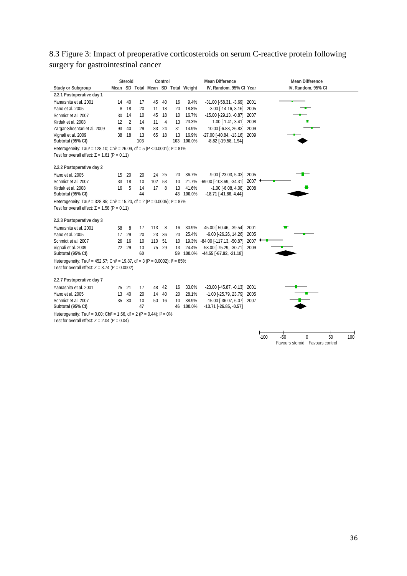## 8.3 Figure 3: Impact of preoperative corticosteroids on serum C-reactive protein following surgery for gastrointestinal cancer

|                                                                                                               |    | <b>Steroid</b> |          |        | Control |    |                                    | <b>Mean Difference</b>              |                     | <b>Mean Difference</b>            |
|---------------------------------------------------------------------------------------------------------------|----|----------------|----------|--------|---------|----|------------------------------------|-------------------------------------|---------------------|-----------------------------------|
| <b>Study or Subgroup</b>                                                                                      |    |                |          |        |         |    | Mean SD Total Mean SD Total Weight | IV, Random, 95% CI Year             |                     | IV, Random, 95% CI                |
| 2.2.1 Postoperative day 1                                                                                     |    |                |          |        |         |    |                                    |                                     |                     |                                   |
| Yamashita et al. 2001                                                                                         | 14 | 40             | 17       | 45     | 40      | 16 | 9.4%                               | -31.00 [-58.31, -3.69] 2001         |                     |                                   |
| Yano et al. 2005                                                                                              | 8  | 18             | 20       | 11     | 18      | 20 | 18.8%                              | $-3.00$ [ $-14.16$ , $8.16$ ] 2005  |                     |                                   |
| Schmidt et al. 2007                                                                                           | 30 | 14             | 10       | 45     | 18      | 10 | 16.7%                              | -15.00 [-29.13, -0.87] 2007         |                     |                                   |
| Kirdak et al. 2008                                                                                            | 12 | $\overline{2}$ | 14       | 11     | 4       | 13 | 23.3%                              | 1.00 [-1.41, 3.41] 2008             |                     |                                   |
| Zargar-Shoshtari et al. 2009                                                                                  | 93 | 40             | 29       | 83     | 24      | 31 | 14.9%                              | 10.00 [-6.83, 26.83] 2009           |                     |                                   |
| Vignali et al. 2009                                                                                           | 38 | 18             | 13       | 65     | - 18    | 13 | 16.9%                              | -27.00 [-40.84, -13.16] 2009        |                     |                                   |
| Subtotal (95% CI)                                                                                             |    |                | 103      |        |         |    | 103 100.0%                         | $-8.82$ [ $-19.58$ , $1.94$ ]       |                     |                                   |
| Heterogeneity: Tau <sup>2</sup> = 128.10; Chi <sup>2</sup> = 26.09, df = 5 (P < 0.0001); $I^2 = 81\%$         |    |                |          |        |         |    |                                    |                                     |                     |                                   |
| Test for overall effect: $Z = 1.61$ (P = 0.11)                                                                |    |                |          |        |         |    |                                    |                                     |                     |                                   |
|                                                                                                               |    |                |          |        |         |    |                                    |                                     |                     |                                   |
| 2.2.2 Postoperative day 2                                                                                     |    |                |          |        |         |    |                                    |                                     |                     |                                   |
| Yano et al. 2005                                                                                              | 15 | 20             | 20       | 24     | 25      | 20 | 36.7%                              | $-9.00$ $[-23.03, 5.03]$ 2005       |                     |                                   |
| Schmidt et al. 2007                                                                                           | 33 | 18             | 10       | 102 53 |         | 10 |                                    | 21.7% -69.00 [-103.69, -34.31] 2007 |                     |                                   |
| Kirdak et al. 2008                                                                                            | 16 | 5              | 14<br>44 | 17     | 8       | 13 | 41.6%                              | $-1.00$ [ $-6.08$ , $4.08$ ] 2008   |                     |                                   |
| Subtotal (95% CI)                                                                                             |    |                |          |        |         |    | 43 100.0%                          | $-18.71$ [ $-41.86, 4.44$ ]         |                     |                                   |
| Heterogeneity: Tau <sup>2</sup> = 328.85; Chi <sup>2</sup> = 15.20, df = 2 (P = 0.0005); l <sup>2</sup> = 87% |    |                |          |        |         |    |                                    |                                     |                     |                                   |
| Test for overall effect: $Z = 1.58$ (P = 0.11)                                                                |    |                |          |        |         |    |                                    |                                     |                     |                                   |
| 2.2.3 Postoperative day 3                                                                                     |    |                |          |        |         |    |                                    |                                     |                     |                                   |
| Yamashita et al. 2001                                                                                         | 68 | 8              | 17       | 113    | 8       | 16 | 30.9%                              | -45.00 [-50.46, -39.54]             | 2001                |                                   |
| Yano et al. 2005                                                                                              | 17 | 29             | 20       | 23     | 36      | 20 | 25.4%                              | $-6.00$ [ $-26.26$ , $14.26$ ] 2005 |                     |                                   |
| Schmidt et al. 2007                                                                                           | 26 | 16             | 10       | 110    | 51      | 10 | 19.3%                              | -84.00 [-117.13, -50.87]            | $2007$ $\leftarrow$ |                                   |
| Vignali et al. 2009                                                                                           | 22 | 29             | 13       | 75     | 29      | 13 | 24.4%                              | -53.00 [-75.29, -30.71] 2009        |                     |                                   |
| Subtotal (95% CI)                                                                                             |    |                | 60       |        |         |    |                                    | 59 100.0% -44.55 [-67.92, -21.18]   |                     |                                   |
| Heterogeneity: Tau <sup>2</sup> = 452.57; Chi <sup>2</sup> = 19.87, df = 3 (P = 0.0002); $I^2 = 85\%$         |    |                |          |        |         |    |                                    |                                     |                     |                                   |
| Test for overall effect: $Z = 3.74$ (P = 0.0002)                                                              |    |                |          |        |         |    |                                    |                                     |                     |                                   |
| 2.2.7 Postoperative day 7                                                                                     |    |                |          |        |         |    |                                    |                                     |                     |                                   |
| Yamashita et al. 2001                                                                                         | 25 | 21             | 17       | 48     | 42      | 16 | 33.0%                              | -23.00 [-45.87, -0.13] 2001         |                     |                                   |
| Yano et al. 2005                                                                                              | 13 | 40             | 20       | 14     | 40      | 20 | 28.1%                              | -1.00 [-25.79, 23.79] 2005          |                     |                                   |
| Schmidt et al. 2007                                                                                           |    | 35 30          | 10       | 50     | 16      | 10 | 38.9%                              | -15.00 [-36.07, 6.07] 2007          |                     |                                   |
| Subtotal (95% CI)                                                                                             |    |                | 47       |        |         |    | 46 100.0%                          | $-13.71$ [ $-26.85, -0.57$ ]        |                     |                                   |
| Heterogeneity: Tau <sup>2</sup> = 0.00; Chi <sup>2</sup> = 1.66, df = 2 (P = 0.44); $1^2$ = 0%                |    |                |          |        |         |    |                                    |                                     |                     |                                   |
| Test for overall effect: $Z = 2.04$ (P = 0.04)                                                                |    |                |          |        |         |    |                                    |                                     |                     |                                   |
|                                                                                                               |    |                |          |        |         |    |                                    |                                     |                     |                                   |
|                                                                                                               |    |                |          |        |         |    |                                    |                                     |                     | 50<br>$-100$<br>$-50$<br>100<br>0 |
|                                                                                                               |    |                |          |        |         |    |                                    |                                     |                     | Favours steroid Favours control   |
|                                                                                                               |    |                |          |        |         |    |                                    |                                     |                     |                                   |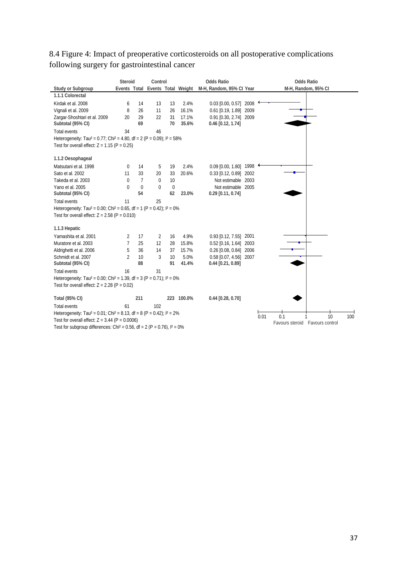|                                                                                                 | <b>Steroid</b>                                                                                  |                | Control      |           | <b>Odds Ratio</b>                |                             |      | <b>Odds Ratio</b>                  |  |  |  |  |  |
|-------------------------------------------------------------------------------------------------|-------------------------------------------------------------------------------------------------|----------------|--------------|-----------|----------------------------------|-----------------------------|------|------------------------------------|--|--|--|--|--|
| <b>Study or Subgroup</b>                                                                        |                                                                                                 |                |              |           | Events Total Events Total Weight | M-H, Random, 95% Cl Year    |      | M-H, Random, 95% CI                |  |  |  |  |  |
| 1.1.1 Colorectal                                                                                |                                                                                                 |                |              |           |                                  |                             |      |                                    |  |  |  |  |  |
| Kirdak et al. 2008                                                                              | 6                                                                                               | 14             | 13           | 13        | 2.4%                             | 2008<br>$0.03$ [0.00, 0.57] |      |                                    |  |  |  |  |  |
| Vignali et al. 2009                                                                             | 8                                                                                               | 26             | 11           | 26        | 16.1%                            | 2009<br>$0.61$ [0.19, 1.89] |      |                                    |  |  |  |  |  |
| Zargar-Shoshtari et al. 2009                                                                    | 20                                                                                              | 29             | 22           | 31        | 17.1%                            | 0.91 [0.30, 2.74] 2009      |      |                                    |  |  |  |  |  |
| Subtotal (95% CI)                                                                               |                                                                                                 | 69             |              | 70        | 35.6%                            | $0.46$ [0.12, 1.74]         |      |                                    |  |  |  |  |  |
| Total events                                                                                    | 34                                                                                              |                | 46           |           |                                  |                             |      |                                    |  |  |  |  |  |
|                                                                                                 | Heterogeneity: Tau <sup>2</sup> = 0.77; Chi <sup>2</sup> = 4.80, df = 2 (P = 0.09); $1^2$ = 58% |                |              |           |                                  |                             |      |                                    |  |  |  |  |  |
| Test for overall effect: $Z = 1.15$ (P = 0.25)                                                  |                                                                                                 |                |              |           |                                  |                             |      |                                    |  |  |  |  |  |
| 1.1.2 Oesophageal                                                                               |                                                                                                 |                |              |           |                                  |                             |      |                                    |  |  |  |  |  |
| Matsutani et al. 1998                                                                           | 0                                                                                               | 14             | 5            | 19        | 2.4%                             | $0.09$ [0.00, 1.80] 1998    |      |                                    |  |  |  |  |  |
| Sato et al. 2002                                                                                | 11                                                                                              | 33             | 20           | 33        | 20.6%                            | $0.33$ [0.12, 0.89]<br>2002 |      |                                    |  |  |  |  |  |
| Takeda et al. 2003                                                                              | $\mathbf{0}$                                                                                    | $\overline{7}$ | $\mathbf{0}$ | 10        |                                  | Not estimable 2003          |      |                                    |  |  |  |  |  |
| Yano et al. 2005                                                                                | 0                                                                                               | $\mathbf 0$    | 0            | $\pmb{0}$ |                                  | Not estimable 2005          |      |                                    |  |  |  |  |  |
| Subtotal (95% CI)                                                                               |                                                                                                 | 54             |              | 62        | 23.0%                            | $0.29$ [0.11, 0.74]         |      |                                    |  |  |  |  |  |
| Total events                                                                                    | 11                                                                                              |                | 25           |           |                                  |                             |      |                                    |  |  |  |  |  |
| Heterogeneity: Tau <sup>2</sup> = 0.00; Chi <sup>2</sup> = 0.65, df = 1 (P = 0.42); $I^2 = 0\%$ |                                                                                                 |                |              |           |                                  |                             |      |                                    |  |  |  |  |  |
| Test for overall effect: $Z = 2.58$ (P = 0.010)                                                 |                                                                                                 |                |              |           |                                  |                             |      |                                    |  |  |  |  |  |
| 1.1.3 Hepatic                                                                                   |                                                                                                 |                |              |           |                                  |                             |      |                                    |  |  |  |  |  |
| Yamashita et al. 2001                                                                           | 2                                                                                               | 17             | 2            | 16        | 4.9%                             | $0.93$ [0.12, 7.55]<br>2001 |      |                                    |  |  |  |  |  |
| Muratore et al. 2003                                                                            | $\overline{7}$                                                                                  | 25             | 12           | 28        | 15.8%                            | $0.52$ [0.16, 1.64]<br>2003 |      |                                    |  |  |  |  |  |
| Aldrighetti et al. 2006                                                                         | 5                                                                                               | 36             | 14           | 37        | 15.7%                            | $0.26$ [0.08, 0.84]<br>2006 |      |                                    |  |  |  |  |  |
| Schmidt et al. 2007                                                                             | 2                                                                                               | 10             | 3            | 10        | 5.0%                             | 0.58 [0.07, 4.56] 2007      |      |                                    |  |  |  |  |  |
| Subtotal (95% CI)                                                                               |                                                                                                 | 88             |              | 91        | 41.4%                            | $0.44$ [0.21, 0.89]         |      |                                    |  |  |  |  |  |
| Total events                                                                                    | 16                                                                                              |                | 31           |           |                                  |                             |      |                                    |  |  |  |  |  |
| Heterogeneity: Tau <sup>2</sup> = 0.00; Chi <sup>2</sup> = 1.39, df = 3 (P = 0.71); $1^2 = 0\%$ |                                                                                                 |                |              |           |                                  |                             |      |                                    |  |  |  |  |  |
| Test for overall effect: $Z = 2.28$ (P = 0.02)                                                  |                                                                                                 |                |              |           |                                  |                             |      |                                    |  |  |  |  |  |
| <b>Total (95% CI)</b>                                                                           |                                                                                                 | 211            |              |           | 223 100.0%                       | $0.44$ [0.28, 0.70]         |      |                                    |  |  |  |  |  |
| Total events                                                                                    | 61                                                                                              |                | 102          |           |                                  |                             |      |                                    |  |  |  |  |  |
| Heterogeneity: Tau <sup>2</sup> = 0.01; Chi <sup>2</sup> = 8.13, df = 8 (P = 0.42); $1^2$ = 2%  |                                                                                                 |                |              |           |                                  |                             | 0.01 | 0.1<br>10<br>100                   |  |  |  |  |  |
| Test for overall effect: $Z = 3.44$ (P = 0.0006)                                                |                                                                                                 |                |              |           |                                  |                             |      | Favours steroid<br>Favours control |  |  |  |  |  |
| Test for subgroup differences: Chi <sup>2</sup> = 0.56, df = 2 (P = 0.76), $1^2 = 0\%$          |                                                                                                 |                |              |           |                                  |                             |      |                                    |  |  |  |  |  |

## 8.4 Figure 4: Impact of preoperative corticosteroids on all postoperative complications following surgery for gastrointestinal cancer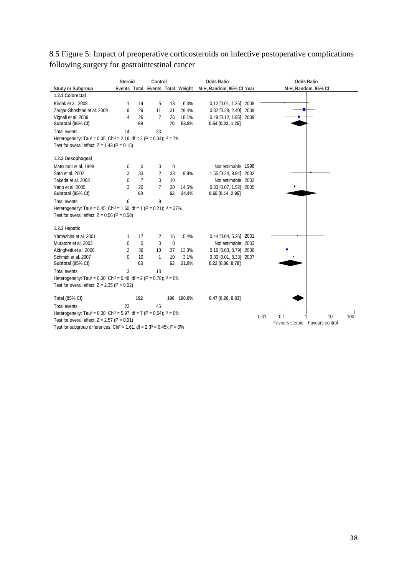|                                                                                                  | <b>Steroid</b> |                | Control                          |              |            | <b>Odds Ratio</b>        |      |      | <b>Odds Ratio</b>               |    |     |  |  |
|--------------------------------------------------------------------------------------------------|----------------|----------------|----------------------------------|--------------|------------|--------------------------|------|------|---------------------------------|----|-----|--|--|
| <b>Study or Subgroup</b>                                                                         |                |                | Events Total Events Total Weight |              |            | M-H, Random, 95% CI Year |      |      | M-H, Random, 95% CI             |    |     |  |  |
| 1.2.1 Colorectal                                                                                 |                |                |                                  |              |            |                          |      |      |                                 |    |     |  |  |
| Kirdak et al. 2008                                                                               | 1              | 14             | 5                                | 13           | 6.3%       | $0.12$ [0.01, 1.25] 2008 |      |      |                                 |    |     |  |  |
| Zargar-Shoshtari et al. 2009                                                                     | 9              | 29             | 11                               | 31           | 29.4%      | $0.82$ [0.28, 2.40]      | 2009 |      |                                 |    |     |  |  |
| Vignali et al. 2009                                                                              | 4              | 26             | $\overline{7}$                   | 26           | 18.1%      | 0.49 [0.12, 1.95] 2009   |      |      |                                 |    |     |  |  |
| Subtotal (95% CI)                                                                                |                | 69             |                                  | 70           | 53.8%      | $0.54$ [0.23, 1.25]      |      |      |                                 |    |     |  |  |
| <b>Total events</b>                                                                              | 14             |                | 23                               |              |            |                          |      |      |                                 |    |     |  |  |
| Heterogeneity: Tau <sup>2</sup> = 0.05; Chi <sup>2</sup> = 2.16, df = 2 (P = 0.34); $1^2$ = 7%   |                |                |                                  |              |            |                          |      |      |                                 |    |     |  |  |
| Test for overall effect: $Z = 1.43$ (P = 0.15)                                                   |                |                |                                  |              |            |                          |      |      |                                 |    |     |  |  |
| 1.2.2 Oesophageal                                                                                |                |                |                                  |              |            |                          |      |      |                                 |    |     |  |  |
| Matsutani et al. 1998                                                                            | $\mathbf 0$    | $\mathbf 0$    | 0                                | $\pmb{0}$    |            | Not estimable 1998       |      |      |                                 |    |     |  |  |
| Sato et al. 2002                                                                                 | 3              | 33             | 2                                | 33           | 9.9%       | 1.55 [0.24, 9.94] 2002   |      |      |                                 |    |     |  |  |
| Takeda et al. 2003                                                                               | $\mathbf{0}$   | $\overline{7}$ | 0                                | 10           |            | Not estimable 2003       |      |      |                                 |    |     |  |  |
| Yano et al. 2005                                                                                 | 3              | 20             | $\overline{7}$                   | 20           | 14.5%      | 0.33 [0.07, 1.52] 2005   |      |      |                                 |    |     |  |  |
| Subtotal (95% CI)                                                                                |                | 60             |                                  | 63           | 24.4%      | $0.65$ [0.14, 2.95]      |      |      |                                 |    |     |  |  |
| <b>Total events</b>                                                                              | 6              |                | 9                                |              |            |                          |      |      |                                 |    |     |  |  |
| Heterogeneity: Tau <sup>2</sup> = 0.45; Chi <sup>2</sup> = 1.60, df = 1 (P = 0.21); $I^2 = 37\%$ |                |                |                                  |              |            |                          |      |      |                                 |    |     |  |  |
| Test for overall effect: $Z = 0.56$ (P = 0.58)                                                   |                |                |                                  |              |            |                          |      |      |                                 |    |     |  |  |
| 1.2.3 Hepatic                                                                                    |                |                |                                  |              |            |                          |      |      |                                 |    |     |  |  |
| Yamashita et al. 2001                                                                            | 1              | 17             | 2                                | 16           | 5.4%       | 0.44 [0.04, 5.36] 2001   |      |      |                                 |    |     |  |  |
| Muratore et al. 2003                                                                             | $\mathbf{0}$   | $\mathbf{0}$   | $\mathbf 0$                      | $\mathbf{0}$ |            | Not estimable 2003       |      |      |                                 |    |     |  |  |
| Aldrighetti et al. 2006                                                                          | $\overline{2}$ | 36             | 10                               | 37           | 13.3%      | 0.16 [0.03, 0.79] 2006   |      |      |                                 |    |     |  |  |
| Schmidt et al. 2007                                                                              | $\mathbf{0}$   | 10             | 1                                | 10           | 3.1%       | 0.30 [0.01, 8.33] 2007   |      |      |                                 |    |     |  |  |
| Subtotal (95% CI)                                                                                |                | 63             |                                  | 63           | 21.8%      | $0.22$ [0.06, 0.78]      |      |      |                                 |    |     |  |  |
| <b>Total events</b>                                                                              | 3              |                | 13                               |              |            |                          |      |      |                                 |    |     |  |  |
| Heterogeneity: Tau <sup>2</sup> = 0.00; Chi <sup>2</sup> = 0.48, df = 2 (P = 0.78); $1^2$ = 0%   |                |                |                                  |              |            |                          |      |      |                                 |    |     |  |  |
| Test for overall effect: $Z = 2.35$ (P = 0.02)                                                   |                |                |                                  |              |            |                          |      |      |                                 |    |     |  |  |
| <b>Total (95% CI)</b>                                                                            |                | 192            |                                  |              | 196 100.0% | $0.47$ [0.26, 0.83]      |      |      |                                 |    |     |  |  |
| <b>Total events</b>                                                                              | 23             |                | 45                               |              |            |                          |      |      |                                 |    |     |  |  |
| Heterogeneity: Tau <sup>2</sup> = 0.00; Chi <sup>2</sup> = 5.97, df = 7 (P = 0.54); $1^2$ = 0%   |                |                |                                  |              |            |                          |      | 0.01 | 0.1                             | 10 | 100 |  |  |
| Test for overall effect: $Z = 2.57$ (P = 0.01)                                                   |                |                |                                  |              |            |                          |      |      | Favours steroid Favours control |    |     |  |  |
| Test for subgroup differences: Chi <sup>2</sup> = 1.61, df = 2 (P = 0.45), $1^2 = 0\%$           |                |                |                                  |              |            |                          |      |      |                                 |    |     |  |  |

## 8.5 Figure 5: Impact of preoperative corticosteroids on infective postoperative complications following surgery for gastrointestinal cancer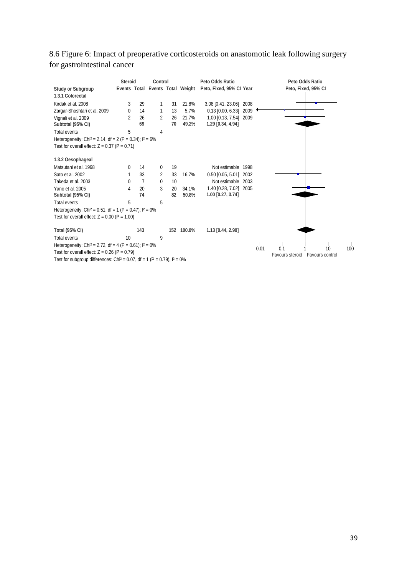## 8.6 Figure 6: Impact of preoperative corticosteroids on anastomotic leak following surgery for gastrointestinal cancer

|                                                                                        | <b>Steroid</b> |                | Control        |    |                                  | Peto Odds Ratio          |      |      | Peto Odds Ratio     |                 |     |
|----------------------------------------------------------------------------------------|----------------|----------------|----------------|----|----------------------------------|--------------------------|------|------|---------------------|-----------------|-----|
| <b>Study or Subgroup</b>                                                               |                |                |                |    | Events Total Events Total Weight | Peto, Fixed, 95% CI Year |      |      | Peto, Fixed, 95% CI |                 |     |
| 1.3.1 Colorectal                                                                       |                |                |                |    |                                  |                          |      |      |                     |                 |     |
| Kirdak et al. 2008                                                                     | 3              | 29             | 1              | 31 | 21.8%                            | 3.08 [0.41, 23.06]       | 2008 |      |                     |                 |     |
| Zargar-Shoshtari et al. 2009                                                           | 0              | 14             | 1              | 13 | 5.7%                             | 0.13 [0.00, 6.33]        | 2009 |      |                     |                 |     |
| Vignali et al. 2009                                                                    | $\overline{2}$ | 26             | 2              | 26 | 21.7%                            | 1.00 [0.13, 7.54] 2009   |      |      |                     |                 |     |
| Subtotal (95% CI)                                                                      |                | 69             |                | 70 | 49.2%                            | 1.29 [0.34, 4.94]        |      |      |                     |                 |     |
| <b>Total events</b>                                                                    | 5              |                | 4              |    |                                  |                          |      |      |                     |                 |     |
| Heterogeneity: Chi <sup>2</sup> = 2.14, df = 2 (P = 0.34); $1^2 = 6\%$                 |                |                |                |    |                                  |                          |      |      |                     |                 |     |
| Test for overall effect: $Z = 0.37$ (P = 0.71)                                         |                |                |                |    |                                  |                          |      |      |                     |                 |     |
| 1.3.2 Oesophageal                                                                      |                |                |                |    |                                  |                          |      |      |                     |                 |     |
| Matsutani et al. 1998                                                                  | $\Omega$       | 14             | 0              | 19 |                                  | Not estimable            | 1998 |      |                     |                 |     |
| Sato et al. 2002                                                                       |                | 33             | $\overline{2}$ | 33 | 16.7%                            | $0.50$ [0.05, 5.01]      | 2002 |      |                     |                 |     |
| Takeda et al. 2003                                                                     | $\Omega$       | $\overline{7}$ | $\Omega$       | 10 |                                  | Not estimable 2003       |      |      |                     |                 |     |
| Yano et al. 2005                                                                       | 4              | 20             | 3              | 20 | 34.1%                            | 1.40 [0.28, 7.02]        | 2005 |      |                     |                 |     |
| Subtotal (95% CI)                                                                      |                | 74             |                | 82 | 50.8%                            | 1.00 [0.27, 3.74]        |      |      |                     |                 |     |
| <b>Total events</b>                                                                    | 5              |                | 5              |    |                                  |                          |      |      |                     |                 |     |
| Heterogeneity: Chi <sup>2</sup> = 0.51, df = 1 (P = 0.47); $I^2 = 0\%$                 |                |                |                |    |                                  |                          |      |      |                     |                 |     |
| Test for overall effect: $Z = 0.00$ (P = 1.00)                                         |                |                |                |    |                                  |                          |      |      |                     |                 |     |
| <b>Total (95% CI)</b>                                                                  |                | 143            |                |    | 152 100.0%                       | 1.13 [0.44, 2.90]        |      |      |                     |                 |     |
| <b>Total events</b>                                                                    | 10             |                | 9              |    |                                  |                          |      |      |                     |                 |     |
| Heterogeneity: Chi <sup>2</sup> = 2.72, df = 4 (P = 0.61); $I^2 = 0\%$                 |                |                |                |    |                                  |                          |      |      |                     |                 |     |
| Test for overall effect: $Z = 0.26$ (P = 0.79)                                         |                |                |                |    |                                  |                          |      | 0.01 | 0.1                 | 10              | 100 |
| Test for subgroup differences: Chi <sup>2</sup> = 0.07, df = 1 (P = 0.79), $I^2 = 0\%$ |                |                |                |    |                                  |                          |      |      | Favours steroid     | Favours control |     |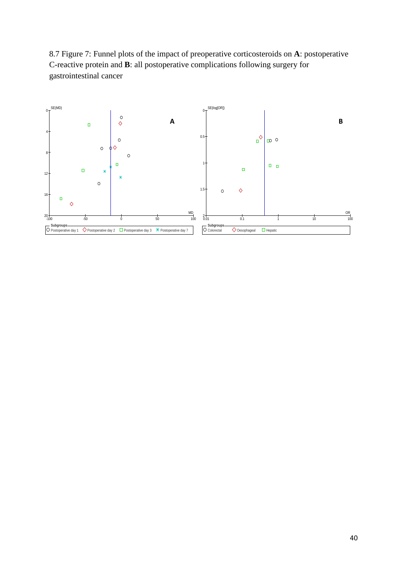8.7 Figure 7: Funnel plots of the impact of preoperative corticosteroids on **A**: postoperative C-reactive protein and **B**: all postoperative complications following surgery for gastrointestinal cancer

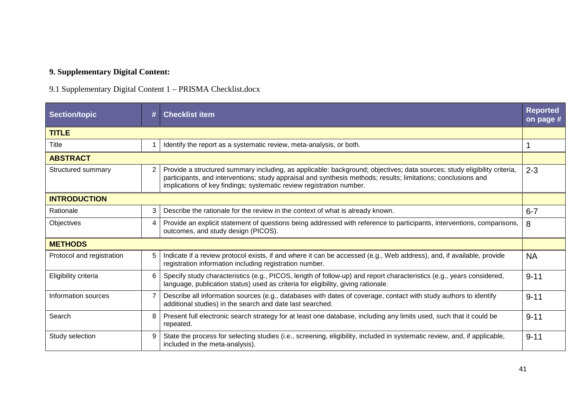# **9. Supplementary Digital Content:**

# 9.1 Supplementary Digital Content 1 – PRISMA Checklist.docx

| <b>Section/topic</b>      |   | <b>Checklist item</b>                                                                                                                                                                                                                                                                                             | <b>Reported</b><br>on page # |
|---------------------------|---|-------------------------------------------------------------------------------------------------------------------------------------------------------------------------------------------------------------------------------------------------------------------------------------------------------------------|------------------------------|
| <b>TITLE</b>              |   |                                                                                                                                                                                                                                                                                                                   |                              |
| Title                     |   | Identify the report as a systematic review, meta-analysis, or both.                                                                                                                                                                                                                                               |                              |
| <b>ABSTRACT</b>           |   |                                                                                                                                                                                                                                                                                                                   |                              |
| Structured summary        | 2 | Provide a structured summary including, as applicable: background; objectives; data sources; study eligibility criteria,<br>participants, and interventions; study appraisal and synthesis methods; results; limitations; conclusions and<br>implications of key findings; systematic review registration number. | $2 - 3$                      |
| <b>INTRODUCTION</b>       |   |                                                                                                                                                                                                                                                                                                                   |                              |
| Rationale                 | 3 | Describe the rationale for the review in the context of what is already known.                                                                                                                                                                                                                                    | $6 - 7$                      |
| Objectives                | 4 | Provide an explicit statement of questions being addressed with reference to participants, interventions, comparisons,<br>outcomes, and study design (PICOS).                                                                                                                                                     | 8                            |
| <b>METHODS</b>            |   |                                                                                                                                                                                                                                                                                                                   |                              |
| Protocol and registration |   | Indicate if a review protocol exists, if and where it can be accessed (e.g., Web address), and, if available, provide<br>registration information including registration number.                                                                                                                                  | <b>NA</b>                    |
| Eligibility criteria      |   | Specify study characteristics (e.g., PICOS, length of follow-up) and report characteristics (e.g., years considered,<br>language, publication status) used as criteria for eligibility, giving rationale.                                                                                                         | $9 - 11$                     |
| Information sources       |   | Describe all information sources (e.g., databases with dates of coverage, contact with study authors to identify<br>additional studies) in the search and date last searched.                                                                                                                                     | $9 - 11$                     |
| Search                    |   | Present full electronic search strategy for at least one database, including any limits used, such that it could be<br>repeated.                                                                                                                                                                                  | $9 - 11$                     |
| Study selection           | 9 | State the process for selecting studies (i.e., screening, eligibility, included in systematic review, and, if applicable,<br>included in the meta-analysis).                                                                                                                                                      | $9 - 11$                     |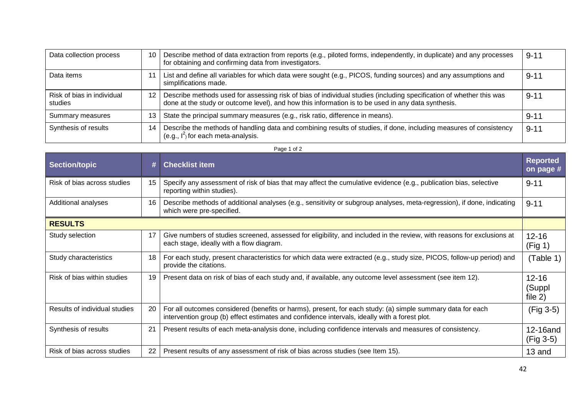| Data collection process               | 10 | Describe method of data extraction from reports (e.g., piloted forms, independently, in duplicate) and any processes<br>for obtaining and confirming data from investigators.                                             | $9 - 11$ |
|---------------------------------------|----|---------------------------------------------------------------------------------------------------------------------------------------------------------------------------------------------------------------------------|----------|
| Data items                            |    | List and define all variables for which data were sought (e.g., PICOS, funding sources) and any assumptions and<br>simplifications made.                                                                                  | $9 - 11$ |
| Risk of bias in individual<br>studies | 12 | Describe methods used for assessing risk of bias of individual studies (including specification of whether this was<br>done at the study or outcome level), and how this information is to be used in any data synthesis. | $9 - 11$ |
| Summary measures                      | 13 | State the principal summary measures (e.g., risk ratio, difference in means).                                                                                                                                             | $9 - 11$ |
| Synthesis of results                  | 14 | Describe the methods of handling data and combining results of studies, if done, including measures of consistency<br>(e.g., $I^2$ ) for each meta-analysis.                                                              | $9 - 11$ |

#### Page 1 of 2

| <b>Section/topic</b>          |    | <b>Checklist item</b>                                                                                                                                                                                       | <b>Reported</b><br>on page #     |
|-------------------------------|----|-------------------------------------------------------------------------------------------------------------------------------------------------------------------------------------------------------------|----------------------------------|
| Risk of bias across studies   | 15 | Specify any assessment of risk of bias that may affect the cumulative evidence (e.g., publication bias, selective<br>reporting within studies).                                                             | $9 - 11$                         |
| Additional analyses           | 16 | Describe methods of additional analyses (e.g., sensitivity or subgroup analyses, meta-regression), if done, indicating<br>which were pre-specified.                                                         | $9 - 11$                         |
| <b>RESULTS</b>                |    |                                                                                                                                                                                                             |                                  |
| Study selection               | 17 | Give numbers of studies screened, assessed for eligibility, and included in the review, with reasons for exclusions at<br>each stage, ideally with a flow diagram.                                          | $12 - 16$<br>(Fig 1)             |
| Study characteristics         | 18 | For each study, present characteristics for which data were extracted (e.g., study size, PICOS, follow-up period) and<br>provide the citations.                                                             | (Table 1)                        |
| Risk of bias within studies   | 19 | Present data on risk of bias of each study and, if available, any outcome level assessment (see item 12).                                                                                                   | $12 - 16$<br>(Suppl<br>file $2)$ |
| Results of individual studies | 20 | For all outcomes considered (benefits or harms), present, for each study: (a) simple summary data for each<br>intervention group (b) effect estimates and confidence intervals, ideally with a forest plot. | (Fig 3-5)                        |
| Synthesis of results          | 21 | Present results of each meta-analysis done, including confidence intervals and measures of consistency.                                                                                                     | 12-16and<br>$(Fig 3-5)$          |
| Risk of bias across studies   | 22 | Present results of any assessment of risk of bias across studies (see Item 15).                                                                                                                             | 13 and                           |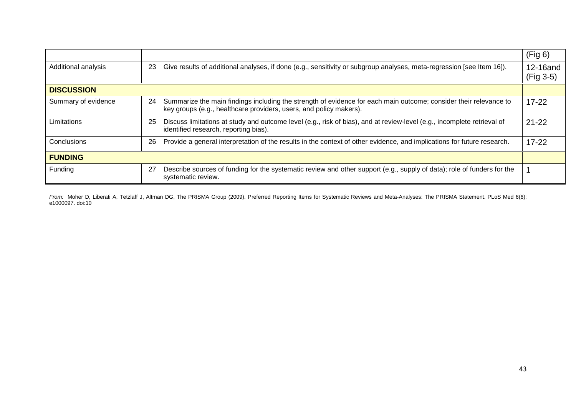|                     |    |                                                                                                                                                                                         | (Fig 6)               |
|---------------------|----|-----------------------------------------------------------------------------------------------------------------------------------------------------------------------------------------|-----------------------|
| Additional analysis | 23 | Give results of additional analyses, if done (e.g., sensitivity or subgroup analyses, meta-regression [see Item 16]).                                                                   | 12-16and<br>(Fig 3-5) |
| <b>DISCUSSION</b>   |    |                                                                                                                                                                                         |                       |
| Summary of evidence | 24 | Summarize the main findings including the strength of evidence for each main outcome; consider their relevance to<br>key groups (e.g., healthcare providers, users, and policy makers). | $17 - 22$             |
| Limitations         | 25 | Discuss limitations at study and outcome level (e.g., risk of bias), and at review-level (e.g., incomplete retrieval of<br>identified research, reporting bias).                        | $21 - 22$             |
| Conclusions         | 26 | Provide a general interpretation of the results in the context of other evidence, and implications for future research.                                                                 | $17 - 22$             |
| <b>FUNDING</b>      |    |                                                                                                                                                                                         |                       |
| Funding             | 27 | Describe sources of funding for the systematic review and other support (e.g., supply of data); role of funders for the<br>systematic review.                                           |                       |

*From:* Moher D, Liberati A, Tetzlaff J, Altman DG, The PRISMA Group (2009). Preferred Reporting Items for Systematic Reviews and Meta-Analyses: The PRISMA Statement. PLoS Med 6(6): e1000097. doi:10